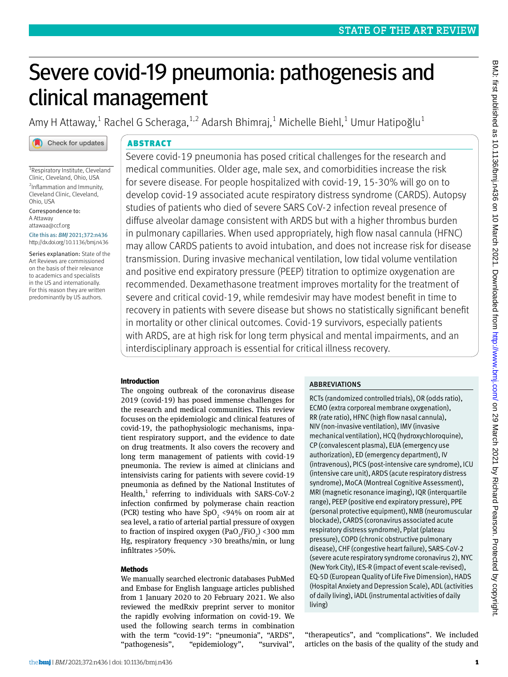# Severe covid-19 pneumonia: pathogenesis and clinical management

Amy H Attaway, $^1$  Rachel G Scheraga, $^{1,2}$  Adarsh Bhimraj, $^1$  Michelle Biehl, $^1$  Umur Hatipoğlu $^1$ 

<sup>1</sup> Respiratory Institute, Cleveland Clinic, Cleveland, Ohio, USA 2 Inflammation and Immunity, Cleveland Clinic, Cleveland, Ohio, USA

Check for updates

Correspondence to: A Attaway [attawaa@ccf.org](mailto:attawaa@ccf.org)

Cite this as: *BMJ* 2021;372:n436 http://dx.doi.org/10.1136/bmj.n436

Series explanation: State of the Art Reviews are commissioned on the basis of their relevance to academics and specialists in the US and internationally. For this reason they are written predominantly by US authors.

# ABSTRACT

Severe covid-19 pneumonia has posed critical challenges for the research and medical communities. Older age, male sex, and comorbidities increase the risk for severe disease. For people hospitalized with covid-19, 15-30% will go on to develop covid-19 associated acute respiratory distress syndrome (CARDS). Autopsy studies of patients who died of severe SARS CoV-2 infection reveal presence of diffuse alveolar damage consistent with ARDS but with a higher thrombus burden in pulmonary capillaries. When used appropriately, high flow nasal cannula (HFNC) may allow CARDS patients to avoid intubation, and does not increase risk for disease transmission. During invasive mechanical ventilation, low tidal volume ventilation and positive end expiratory pressure (PEEP) titration to optimize oxygenation are recommended. Dexamethasone treatment improves mortality for the treatment of severe and critical covid-19, while remdesivir may have modest benefit in time to recovery in patients with severe disease but shows no statistically significant benefit in mortality or other clinical outcomes. Covid-19 survivors, especially patients with ARDS, are at high risk for long term physical and mental impairments, and an interdisciplinary approach is essential for critical illness recovery.

# **Introduction**

The ongoing outbreak of the coronavirus disease 2019 (covid-19) has posed immense challenges for the research and medical communities. This review focuses on the epidemiologic and clinical features of covid-19, the pathophysiologic mechanisms, inpatient respiratory support, and the evidence to date on drug treatments. It also covers the recovery and long term management of patients with covid-19 pneumonia. The review is aimed at clinicians and intensivists caring for patients with severe covid-19 pneumonia as defined by the National Institutes of Health, $<sup>1</sup>$  referring to individuals with SARS-CoV-2</sup> infection confirmed by polymerase chain reaction (PCR) testing who have  $SpO<sub>2</sub>$  <94% on room air at sea level, a ratio of arterial partial pressure of oxygen to fraction of inspired oxygen  $(\text{PaO}_2/\text{FiO}_2)$  <300 mm Hg, respiratory frequency >30 breaths/min, or lung infiltrates >50%.

# **Methods**

We manually searched electronic databases PubMed and Embase for English language articles published from 1 January 2020 to 20 February 2021. We also reviewed the medRxiv preprint server to monitor the rapidly evolving information on covid-19. We used the following search terms in combination with the term "covid-19": "pneumonia", "ARDS", "pathogenesis", "epidemiology", "survival",

# **ABBREVIATIONS**

RCTs (randomized controlled trials), OR (odds ratio), ECMO (extra corporeal membrane oxygenation), RR (rate ratio), HFNC (high flow nasal cannula), NIV (non-invasive ventilation), IMV (invasive mechanical ventilation), HCQ (hydroxychloroquine), CP (convalescent plasma), EUA (emergency use authorization), ED (emergency department), IV (intravenous), PICS (post-intensive care syndrome), ICU (intensive care unit), ARDS (acute respiratory distress syndrome), MoCA (Montreal Cognitive Assessment), MRI (magnetic resonance imaging), IQR (interquartile range), PEEP (positive end expiratory pressure), PPE (personal protective equipment), NMB (neuromuscular blockade), CARDS (coronavirus associated acute respiratory distress syndrome), Pplat (plateau pressure), COPD (chronic obstructive pulmonary disease), CHF (congestive heart failure), SARS-CoV-2 (severe acute respiratory syndrome coronavirus 2), NYC (New York City), IES-R (impact of event scale-revised), EQ-5D (European Quality of Life Five Dimension), HADS (Hospital Anxiety and Depression Scale), ADL (activities of daily living), iADL (instrumental activities of daily living)

"therapeutics", and "complications". We included articles on the basis of the quality of the study and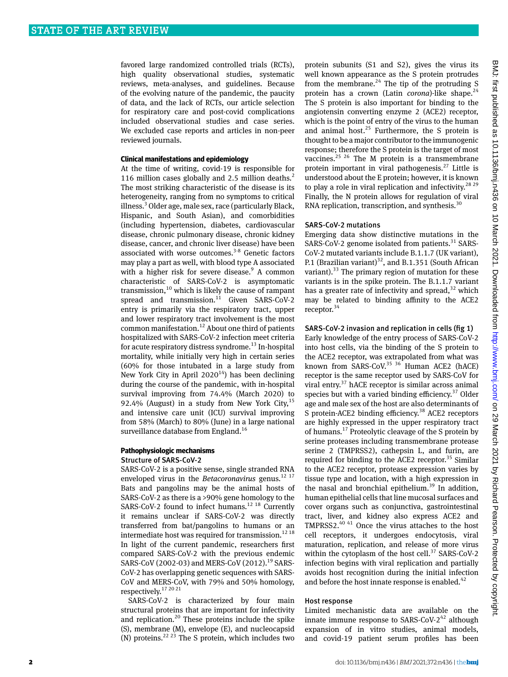favored large randomized controlled trials (RCTs), high quality observational studies, systematic reviews, meta-analyses, and guidelines. Because of the evolving nature of the pandemic, the paucity of data, and the lack of RCTs, our article selection for respiratory care and post-covid complications included observational studies and case series. We excluded case reports and articles in non-peer reviewed journals.

#### **Clinical manifestations and epidemiology**

At the time of writing, covid-19 is responsible for 116 million cases globally and 2.5 million deaths.<sup>2</sup> The most striking characteristic of the disease is its heterogeneity, ranging from no symptoms to critical illness.<sup>3</sup> Older age, male sex, race (particularly Black, Hispanic, and South Asian), and comorbidities (including hypertension, diabetes, cardiovascular disease, chronic pulmonary disease, chronic kidney disease, cancer, and chronic liver disease) have been associated with worse outcomes. $3-8$  Genetic factors may play a part as well, with blood type A associated with a higher risk for severe disease.<sup>9</sup> A common characteristic of SARS-CoV-2 is asymptomatic transmission, $10$  which is likely the cause of rampant spread and transmission.<sup>11</sup> Given SARS-CoV-2 entry is primarily via the respiratory tract, upper and lower respiratory tract involvement is the most common manifestation.<sup>12</sup> About one third of patients hospitalized with SARS-CoV-2 infection meet criteria for acute respiratory distress syndrome.<sup>13</sup> In-hospital mortality, while initially very high in certain series (60% for those intubated in a large study from New York City in April  $2020^{14}$ ) has been declining during the course of the pandemic, with in-hospital survival improving from 74.4% (March 2020) to 92.4% (August) in a study from New York City,  $15$ and intensive care unit (ICU) survival improving from 58% (March) to 80% (June) in a large national surveillance database from England.<sup>16</sup>

## **Pathophysiologic mechanisms** Structure of SARS-CoV-2

SARS-CoV-2 is a positive sense, single stranded RNA enveloped virus in the *Betacoronavirus* genus.<sup>12 17</sup> Bats and pangolins may be the animal hosts of SARS-CoV-2 as there is a >90% gene homology to the SARS-CoV-2 found to infect humans.<sup>12 18</sup> Currently it remains unclear if SARS-CoV-2 was directly transferred from bat/pangolins to humans or an intermediate host was required for transmission.<sup>12 18</sup> In light of the current pandemic, researchers first compared SARS-CoV-2 with the previous endemic SARS-CoV (2002-03) and MERS-CoV (2012).<sup>19</sup> SARS-CoV-2 has overlapping genetic sequences with SARS-CoV and MERS-CoV, with 79% and 50% homology, respectively.17 20 21

SARS-CoV-2 is characterized by four main structural proteins that are important for infectivity and replication.<sup>20</sup> These proteins include the spike (S), membrane (M), envelope (E), and nucleocapsid (N) proteins.<sup>22 23</sup> The S protein, which includes two

protein subunits (S1 and S2), gives the virus its well known appearance as the S protein protrudes from the membrane.<sup>24</sup> The tip of the protruding S protein has a crown (Latin *corona*)-like shape.<sup>24</sup> The S protein is also important for binding to the angiotensin converting enzyme 2 (ACE2) receptor, which is the point of entry of the virus to the human and animal host.<sup>25</sup> Furthermore, the S protein is thought to be a major contributor to the immunogenic response; therefore the S protein is the target of most vaccines. $25$   $26$  The M protein is a transmembrane protein important in viral pathogenesis.27 Little is understood about the E protein; however, it is known to play a role in viral replication and infectivity.<sup>28 29</sup> Finally, the N protein allows for regulation of viral RNA replication, transcription, and synthesis.<sup>30</sup>

#### SARS-CoV-2 mutations

Emerging data show distinctive mutations in the SARS-CoV-2 genome isolated from patients. $31$  SARS-CoV-2 mutated variants include B.1.1.7 (UK variant), P.1 (Brazilian variant)<sup>32</sup>, and B.1.351 (South African variant). $33$  The primary region of mutation for these variants is in the spike protein. The B.1.1.7 variant has a greater rate of infectivity and spread,  $32$  which may be related to binding affinity to the ACE2 receptor.<sup>34</sup>

#### SARS-CoV-2 invasion and replication in cells (fig 1)

Early knowledge of the entry process of SARS-CoV-2 into host cells, via the binding of the S protein to the ACE2 receptor, was extrapolated from what was known from SARS-CoV.<sup>35 36</sup> Human ACE2 (hACE) receptor is the same receptor used by SARS-CoV for viral entry.<sup>37</sup> hACE receptor is similar across animal species but with a varied binding efficiency. $37$  Older age and male sex of the host are also determinants of S protein-ACE2 binding efficiency.<sup>38</sup> ACE2 receptors are highly expressed in the upper respiratory tract of humans.17 Proteolytic cleavage of the S protein by serine proteases including transmembrane protease serine 2 (TMPRSS2), cathepsin L, and furin, are required for binding to the ACE2 receptor. $35$  Similar to the ACE2 receptor, protease expression varies by tissue type and location, with a high expression in the nasal and bronchial epithelium.<sup>39</sup> In addition, human epithelial cells that line mucosal surfaces and cover organs such as conjunctiva, gastrointestinal tract, liver, and kidney also express ACE2 and TMPRSS2.40 41 Once the virus attaches to the host cell receptors, it undergoes endocytosis, viral maturation, replication, and release of more virus within the cytoplasm of the host cell. $37$  SARS-CoV-2 infection begins with viral replication and partially avoids host recognition during the initial infection and before the host innate response is enabled. $42$ 

#### Host response

Limited mechanistic data are available on the innate immune response to SARS-CoV- $2^{42}$  although expansion of in vitro studies, animal models, and covid-19 patient serum profiles has been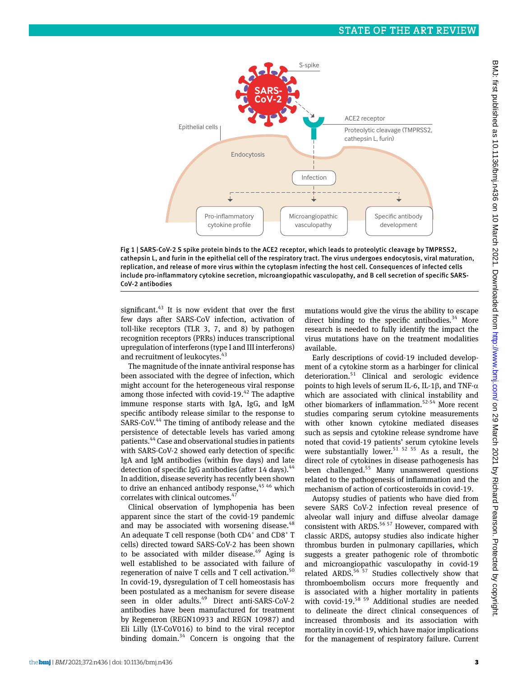

Fig 1 | SARS -CoV-2 S spike protein binds to the ACE2 receptor, which leads to proteolytic cleavage by TMPRSS2, cathepsin L, and furin in the epithelial cell of the respiratory tract. The virus undergoes endocytosis, viral maturation, replication, and release of more virus within the cytoplasm infecting the host cell. Consequences of infected cells include pro-inflammatory cytokine secretion, microangiopathic vasculopathy, and B cell secretion of specific SARS - CoV-2 antibodies

significant. $43$  It is now evident that over the first few days after SARS-CoV infection, activation of toll-like receptors (TLR 3, 7, and 8) by pathogen recognition receptors (PRRs) induces transcriptional upregulation of interferons (type I and III interferons) and recruitment of leukocytes.<sup>43</sup>

The magnitude of the innate antiviral response has been associated with the degree of infection, which might account for the heterogeneous viral response among those infected with covid-19. $42$  The adaptive immune response starts with IgA, IgG, and IgM specific antibody release similar to the response to SARS-CoV.<sup>44</sup> The timing of antibody release and the persistence of detectable levels has varied among patients.44 Case and observational studies in patients with SARS-CoV-2 showed early detection of specific IgA and IgM antibodies (within five days) and late detection of specific IgG antibodies (after 14 days).  $44$ In addition, disease severity has recently been shown to drive an enhanced antibody response,  $45/46$  which correlates with clinical outcomes.<sup>4</sup>

Clinical observation of lymphopenia has been apparent since the start of the covid-19 pandemic and may be associated with worsening disease. $48$ An adequate T cell response (both  $CD4^+$  and  $CD8^+$  T cells) directed toward SARS-CoV-2 has been shown to be associated with milder disease.<sup>49</sup> Aging is well established to be associated with failure of regeneration of naive  $T$  cells and  $T$  cell activation.<sup>50</sup> In covid-19, dysregulation of T cell homeostasis has been postulated as a mechanism for severe disease seen in older adults.<sup>49</sup> Direct anti-SARS-CoV-2 antibodies have been manufactured for treatment by Regeneron (REGN10933 and REGN 10987) and Eli Lilly (LY-CoV016) to bind to the viral receptor binding domain.<sup>34</sup> Concern is ongoing that the

mutations would give the virus the ability to escape direct binding to the specific antibodies. $34$  More research is needed to fully identify the impact the virus mutations have on the treatment modalities available.

Early descriptions of covid-19 included development of a cytokine storm as a harbinger for clinical deterioration.51 Clinical and serologic evidence points to high levels of serum IL-6, IL-1 $\beta$ , and TNF- $\alpha$ which are associated with clinical instability and other biomarkers of inflammation.52-54 More recent studies comparing serum cytokine measurements with other known cytokine mediated diseases such as sepsis and cytokine release syndrome have noted that covid-19 patients' serum cytokine levels were substantially lower.<sup>51 52 55</sup> As a result, the direct role of cytokines in disease pathogenesis has been challenged.<sup>55</sup> Many unanswered questions related to the pathogenesis of inflammation and the mechanism of action of corticosteroids in covid-19.

Autopsy studies of patients who have died from severe SARS CoV-2 infection reveal presence of alveolar wall injury and diffuse alveolar damage consistent with ARDS.<sup>56 57</sup> However, compared with classic ARDS, autopsy studies also indicate higher thrombus burden in pulmonary capillaries, which suggests a greater pathogenic role of thrombotic and microangiopathic vasculopathy in covid-19 related ARDS.<sup>56 57</sup> Studies collectively show that thromboembolism occurs more frequently and is associated with a higher mortality in patients with covid-19.<sup>58 59</sup> Additional studies are needed to delineate the direct clinical consequences of increased thrombosis and its association with mortality in covid-19, which have major implications for the management of respiratory failure. Current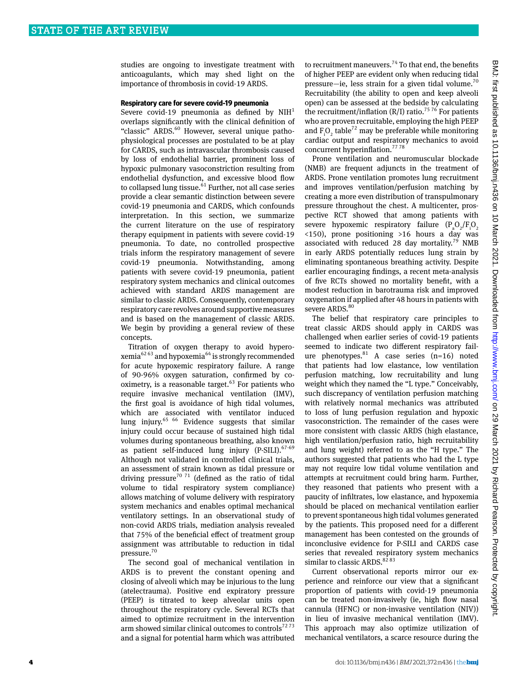studies are ongoing to investigate treatment with anticoagulants, which may shed light on the importance of thrombosis in covid-19 ARDS.

#### **Respiratory care for severe covid-19 pneumonia**

Severe covid-19 pneumonia as defined by  $NIH<sup>1</sup>$ overlaps significantly with the clinical definition of "classic" ARDS.<sup>60</sup> However, several unique pathophysiological processes are postulated to be at play for CARDS, such as intravascular thrombosis caused by loss of endothelial barrier, prominent loss of hypoxic pulmonary vasoconstriction resulting from endothelial dysfunction, and excessive blood flow to collapsed lung tissue.<sup>61</sup> Further, not all case series provide a clear semantic distinction between severe covid-19 pneumonia and CARDS, which confounds interpretation. In this section, we summarize the current literature on the use of respiratory therapy equipment in patients with severe covid-19 pneumonia. To date, no controlled prospective trials inform the respiratory management of severe covid-19 pneumonia. Notwithstanding, among patients with severe covid-19 pneumonia, patient respiratory system mechanics and clinical outcomes achieved with standard ARDS management are similar to classic ARDS. Consequently, contemporary respiratory care revolves around supportive measures and is based on the management of classic ARDS. We begin by providing a general review of these concepts.

Titration of oxygen therapy to avoid hyperoxemia<sup>62 63</sup> and hypoxemia<sup>64</sup> is strongly recommended for acute hypoxemic respiratory failure. A range of 90-96% oxygen saturation, confirmed by cooximetry, is a reasonable target. $63$  For patients who require invasive mechanical ventilation (IMV), the first goal is avoidance of high tidal volumes, which are associated with ventilator induced lung injury. $65/66$  Evidence suggests that similar injury could occur because of sustained high tidal volumes during spontaneous breathing, also known as patient self-induced lung injury (P-SILI). $67-69$ Although not validated in controlled clinical trials, an assessment of strain known as tidal pressure or driving pressure<sup>70 71</sup> (defined as the ratio of tidal volume to tidal respiratory system compliance) allows matching of volume delivery with respiratory system mechanics and enables optimal mechanical ventilatory settings. In an observational study of non-covid ARDS trials, mediation analysis revealed that 75% of the beneficial effect of treatment group assignment was attributable to reduction in tidal pressure.<sup>70</sup>

The second goal of mechanical ventilation in ARDS is to prevent the constant opening and closing of alveoli which may be injurious to the lung (atelectrauma). Positive end expiratory pressure (PEEP) is titrated to keep alveolar units open throughout the respiratory cycle. Several RCTs that aimed to optimize recruitment in the intervention arm showed similar clinical outcomes to controls $7273$ and a signal for potential harm which was attributed

to recruitment maneuvers.<sup>74</sup> To that end, the benefits of higher PEEP are evident only when reducing tidal pressure—ie, less strain for a given tidal volume.<sup>70</sup> Recruitability (the ability to open and keep alveoli open) can be assessed at the bedside by calculating the recruitment/inflation (R/I) ratio.<sup>75 76</sup> For patients who are proven recruitable, employing the high PEEP and  $F_iO_2$  table<sup>72</sup> may be preferable while monitoring cardiac output and respiratory mechanics to avoid concurrent hyperinflation.77 78

Prone ventilation and neuromuscular blockade (NMB) are frequent adjuncts in the treatment of ARDS. Prone ventilation promotes lung recruitment and improves ventilation/perfusion matching by creating a more even distribution of transpulmonary pressure throughout the chest. A multicenter, prospective RCT showed that among patients with severe hypoxemic respiratory failure  $(P_a O_2/F_i O_2)$ <150), prone positioning >16 hours a day was associated with reduced 28 day mortality.<sup>79</sup> NMB in early ARDS potentially reduces lung strain by eliminating spontaneous breathing activity. Despite earlier encouraging findings, a recent meta-analysis of five RCTs showed no mortality benefit, with a modest reduction in barotrauma risk and improved oxygenation if applied after 48 hours in patients with severe ARDS.<sup>80</sup>

The belief that respiratory care principles to treat classic ARDS should apply in CARDS was challenged when earlier series of covid-19 patients seemed to indicate two different respiratory failure phenotypes.  $A$  case series  $(n=16)$  noted that patients had low elastance, low ventilation perfusion matching, low recruitability and lung weight which they named the "L type." Conceivably, such discrepancy of ventilation perfusion matching with relatively normal mechanics was attributed to loss of lung perfusion regulation and hypoxic vasoconstriction. The remainder of the cases were more consistent with classic ARDS (high elastance, high ventilation/perfusion ratio, high recruitability and lung weight) referred to as the "H type." The authors suggested that patients who had the L type may not require low tidal volume ventilation and attempts at recruitment could bring harm. Further, they reasoned that patients who present with a paucity of infiltrates, low elastance, and hypoxemia should be placed on mechanical ventilation earlier to prevent spontaneous high tidal volumes generated by the patients. This proposed need for a different management has been contested on the grounds of inconclusive evidence for P-SILI and CARDS case series that revealed respiratory system mechanics similar to classic ARDS. $8283$ 

Current observational reports mirror our experience and reinforce our view that a significant proportion of patients with covid-19 pneumonia can be treated non-invasively (ie, high flow nasal cannula (HFNC) or non-invasive ventilation (NIV)) in lieu of invasive mechanical ventilation (IMV). This approach may also optimize utilization of mechanical ventilators, a scarce resource during the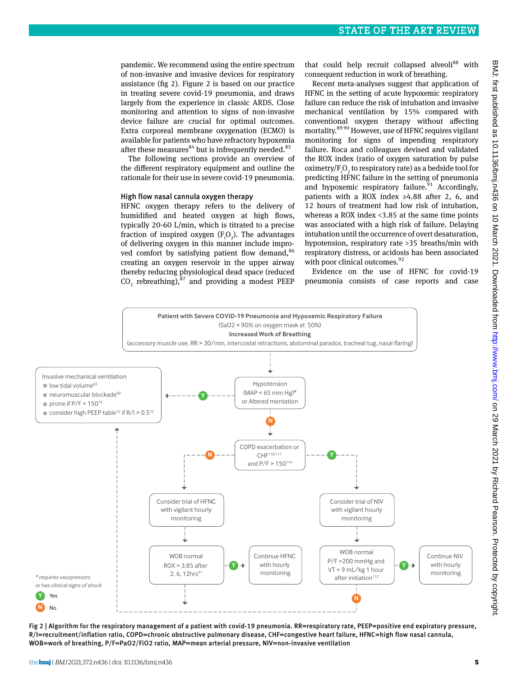pandemic. We recommend using the entire spectrum of non-invasive and invasive devices for respiratory assistance (fig 2). Figure 2 is based on our practice in treating severe covid-19 pneumonia, and draws largely from the experience in classic ARDS. Close monitoring and attention to signs of non-invasive device failure are crucial for optimal outcomes. Extra corporeal membrane oxygenation (ECMO) is available for patients who have refractory hypoxemia after these measures $84$  but is infrequently needed.  $85$ 

The following sections provide an overview of the different respiratory equipment and outline the rationale for their use in severe covid-19 pneumonia.

## High flow nasal cannula oxygen therapy

HFNC oxygen therapy refers to the delivery of humidified and heated oxygen at high flows, typically 20-60 L/min, which is titrated to a precise fraction of inspired oxygen  $(F_i O_2)$ . The advantages of delivering oxygen in this manner include improved comfort by satisfying patient flow demand,<sup>86</sup> creating an oxygen reservoir in the upper airway thereby reducing physiological dead space (reduced  $CO_2$  rebreathing), $^{87}$  and providing a modest PEEP that could help recruit collapsed alveoli<sup>88</sup> with consequent reduction in work of breathing.

Recent meta-analyses suggest that application of HFNC in the setting of acute hypoxemic respiratory failure can reduce the risk of intubation and invasive mechanical ventilation by 15% compared with conventional oxygen therapy without affecting mortality.<sup>89 90</sup> However, use of HFNC requires vigilant monitoring for signs of impending respiratory failure. Roca and colleagues devised and validated the ROX index (ratio of oxygen saturation by pulse oximetry/ $F_iO_2$  to respiratory rate) as a bedside tool for predicting HFNC failure in the setting of pneumonia and hypoxemic respiratory failure. $91$  Accordingly, patients with a ROX index ≥4.88 after 2, 6, and 12 hours of treatment had low risk of intubation, whereas a ROX index <3.85 at the same time points was associated with a high risk of failure. Delaying intubation until the occurrence of overt desaturation, hypotension, respiratory rate >35 breaths/min with respiratory distress, or acidosis has been associated with poor clinical outcomes.<sup>92</sup>

Evidence on the use of HFNC for covid-19 pneumonia consists of case reports and case



Fig 2 | Algorithm for the respiratory management of a patient with covid-19 pneumonia. RR=respiratory rate, PEEP=positive end expiratory pressure, R/I=recruitment/inflation ratio, COPD=chronic obstructive pulmonary disease, CHF=congestive heart failure, HFNC=high flow nasal cannula, WOB=work of breathing, P/F=PaO2/FiO2 ratio, MAP=mean arterial pressure, NIV=non-invasive ventilation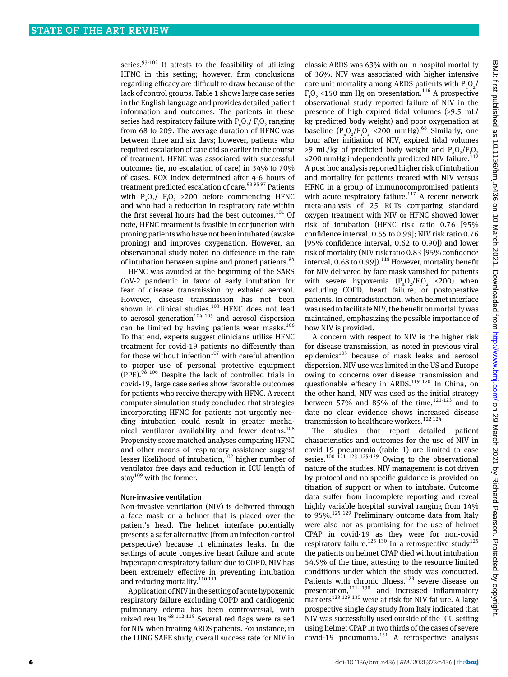series. $93-102$  It attests to the feasibility of utilizing HFNC in this setting; however, firm conclusions regarding efficacy are difficult to draw because of the lack of control groups. Table 1 shows large case series in the English language and provides detailed patient information and outcomes. The patients in these series had respiratory failure with  $P_aO_2/P_iO_2$  ranging from 68 to 209. The average duration of HFNC was between three and six days; however, patients who required escalation of care did so earlier in the course of treatment. HFNC was associated with successful outcomes (ie, no escalation of care) in 34% to 70% of cases. ROX index determined after 4-6 hours of treatment predicted escalation of care.<sup>93 95 97</sup> Patients with  $P_aO_2$ /  $F_iO_2$  >200 before commencing HFNC and who had a reduction in respiratory rate within the first several hours had the best outcomes.<sup>101</sup> Of note, HFNC treatment is feasible in conjunction with proning patients who have not been intubated (awake proning) and improves oxygenation. However, an observational study noted no difference in the rate of intubation between supine and proned patients.<sup>94</sup>

HFNC was avoided at the beginning of the SARS CoV-2 pandemic in favor of early intubation for fear of disease transmission by exhaled aerosol. However, disease transmission has not been shown in clinical studies. $103$  HFNC does not lead to aerosol generation<sup>104 105</sup> and aerosol dispersion can be limited by having patients wear masks.<sup>106</sup> To that end, experts suggest clinicians utilize HFNC treatment for covid-19 patients no differently than for those without infection<sup>107</sup> with careful attention to proper use of personal protective equipment (PPE).98 106 Despite the lack of controlled trials in covid-19, large case series show favorable outcomes for patients who receive therapy with HFNC. A recent computer simulation study concluded that strategies incorporating HFNC for patients not urgently needing intubation could result in greater mechanical ventilator availability and fewer deaths.<sup>108</sup> Propensity score matched analyses comparing HFNC and other means of respiratory assistance suggest lesser likelihood of intubation,<sup>102</sup> higher number of ventilator free days and reduction in ICU length of stay<sup>109</sup> with the former.

#### Non-invasive ventilation

Non-invasive ventilation (NIV) is delivered through a face mask or a helmet that is placed over the patient's head. The helmet interface potentially presents a safer alternative (from an infection control perspective) because it eliminates leaks. In the settings of acute congestive heart failure and acute hypercapnic respiratory failure due to COPD, NIV has been extremely effective in preventing intubation and reducing mortality.  $^{\rm 110\,111}$ 

Application of NIV in the setting of acute hypoxemic respiratory failure excluding COPD and cardiogenic pulmonary edema has been controversial, with mixed results.68 112-115 Several red flags were raised for NIV when treating ARDS patients. For instance, in the LUNG SAFE study, overall success rate for NIV in classic ARDS was 63% with an in-hospital mortality of 36%. NIV was associated with higher intensive care unit mortality among ARDS patients with  $P_aO_2/$  $F_1O_2$  <150 mm Hg on presentation.<sup>116</sup> A prospective observational study reported failure of NIV in the presence of high expired tidal volumes (>9.5 mL/ kg predicted body weight) and poor oxygenation at baseline  $(P_aO_2/F_1O_2 \leq 200 \text{ mmHg}).^{68}$  Similarly, one hour after initiation of NIV, expired tidal volumes >9 mL/kg of predicted body weight and  $P_aO_2/F_iO_2$ ≤200 mmHg independently predicted NIV failure.<sup>112</sup> A post hoc analysis reported higher risk of intubation and mortality for patients treated with NIV versus HFNC in a group of immunocompromised patients with acute respiratory failure.<sup>117</sup> A recent network meta-analysis of 25 RCTs comparing standard oxygen treatment with NIV or HFNC showed lower risk of intubation (HFNC risk ratio 0.76 [95% confidence interval, 0.55 to 0.99]; NIV risk ratio 0.76 [95% confidence interval, 0.62 to 0.90]) and lower risk of mortality (NIV risk ratio 0.83 [95% confidence interval, 0.68 to 0.99]).<sup>118</sup> However, mortality benefit for NIV delivered by face mask vanished for patients with severe hypoxemia  $(P_aO_2/F_iO_2 \leq 200)$  when excluding COPD, heart failure, or postoperative patients. In contradistinction, when helmet interface was used to facilitate NIV, the benefit on mortality was maintained, emphasizing the possible importance of how NIV is provided.

A concern with respect to NIV is the higher risk for disease transmission, as noted in previous viral epidemics<sup>103</sup> because of mask leaks and aerosol dispersion. NIV use was limited in the US and Europe owing to concerns over disease transmission and questionable efficacy in ARDS.<sup>119 120</sup> In China, on the other hand, NIV was used as the initial strategy between 57% and 85% of the time,  $121-123$  and to date no clear evidence shows increased disease transmission to healthcare workers.<sup>122 124</sup>

The studies that report detailed patient characteristics and outcomes for the use of NIV in covid-19 pneumonia (table 1) are limited to case series.<sup>100 121 123 125-129</sup> Owing to the observational nature of the studies, NIV management is not driven by protocol and no specific guidance is provided on titration of support or when to intubate. Outcome data suffer from incomplete reporting and reveal highly variable hospital survival ranging from 14% to 95%.125 129 Preliminary outcome data from Italy were also not as promising for the use of helmet CPAP in covid-19 as they were for non-covid respiratory failure.<sup>125 130</sup> In a retrospective study<sup>125</sup> the patients on helmet CPAP died without intubation 54.9% of the time, attesting to the resource limited conditions under which the study was conducted. Patients with chronic illness, $123$  severe disease on presentation, $121 \tcdot 130$  and increased inflammatory markers<sup>123 129 130</sup> were at risk for NIV failure. A large prospective single day study from Italy indicated that NIV was successfully used outside of the ICU setting using helmet CPAP in two thirds of the cases of severe covid-19 pneumonia. $131$  A retrospective analysis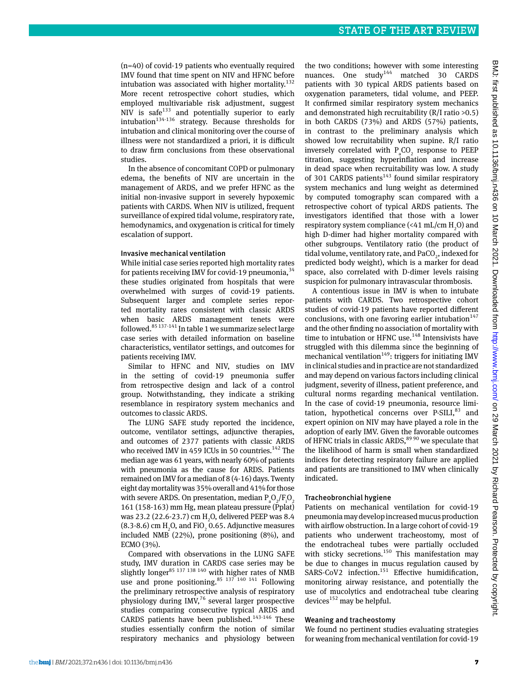(n=40) of covid-19 patients who eventually required IMV found that time spent on NIV and HFNC before intubation was associated with higher mortality. $132$ More recent retrospective cohort studies, which employed multivariable risk adjustment, suggest NIV is safe<sup>133</sup> and potentially superior to early intubation<sup>134-136</sup> strategy. Because thresholds for intubation and clinical monitoring over the course of illness were not standardized a priori, it is difficult to draw firm conclusions from these observational studies.

In the absence of concomitant COPD or pulmonary edema, the benefits of NIV are uncertain in the management of ARDS, and we prefer HFNC as the initial non-invasive support in severely hypoxemic patients with CARDS. When NIV is utilized, frequent surveillance of expired tidal volume, respiratory rate, hemodynamics, and oxygenation is critical for timely escalation of support.

## Invasive mechanical ventilation

While initial case series reported high mortality rates for patients receiving IMV for covid-19 pneumonia,  $34$ these studies originated from hospitals that were overwhelmed with surges of covid-19 patients. Subsequent larger and complete series reported mortality rates consistent with classic ARDS when basic ARDS management tenets were followed.85 137-141 In table 1 we summarize select large case series with detailed information on baseline characteristics, ventilator settings, and outcomes for patients receiving IMV.

Similar to HFNC and NIV, studies on IMV in the setting of covid-19 pneumonia suffer from retrospective design and lack of a control group. Notwithstanding, they indicate a striking resemblance in respiratory system mechanics and outcomes to classic ARDS.

The LUNG SAFE study reported the incidence, outcome, ventilator settings, adjunctive therapies, and outcomes of 2377 patients with classic ARDS who received IMV in 459 ICUs in 50 countries.<sup>142</sup> The median age was 61 years, with nearly 60% of patients with pneumonia as the cause for ARDS. Patients remained on IMV for a median of 8 (4-16) days. Twenty eight day mortality was 35% overall and 41% for those with severe ARDS. On presentation, median  $P_aO_2/F_iO_2$ 161 (158-163) mm Hg, mean plateau pressure (Pplat) was 23.2 (22.6-23.7) cm  $H_2O$ , delivered PEEP was 8.4  $(8.3-8.6)$  cm  $H_2O$ , and FiO<sub>2</sub> 0.65. Adjunctive measures included NMB (22%), prone positioning (8%), and ECMO (3%).

Compared with observations in the LUNG SAFE study, IMV duration in CARDS case series may be slightly longer<sup>85 137 138 140</sup> with higher rates of NMB use and prone positioning. $85 \frac{137}{140}$   $141 \frac{141}{141}$  Following the preliminary retrospective analysis of respiratory physiology during IMV, $76$  several larger prospective studies comparing consecutive typical ARDS and CARDS patients have been published. $143-146$  These studies essentially confirm the notion of similar respiratory mechanics and physiology between

the two conditions; however with some interesting nuances. One study<sup>144</sup> matched 30 CARDS patients with 30 typical ARDS patients based on oxygenation parameters, tidal volume, and PEEP. It confirmed similar respiratory system mechanics and demonstrated high recruitability (R/I ratio >0.5) in both CARDS (73%) and ARDS (57%) patients, in contrast to the preliminary analysis which showed low recruitability when supine. R/I ratio inversely correlated with  $P_aCO_2$  response to PEEP titration, suggesting hyperinflation and increase in dead space when recruitability was low. A study of 301 CARDS patients<sup>143</sup> found similar respiratory system mechanics and lung weight as determined by computed tomography scan compared with a retrospective cohort of typical ARDS patients. The investigators identified that those with a lower respiratory system compliance (<41 mL/cm  $\rm H_2O$ ) and high D-dimer had higher mortality compared with other subgroups. Ventilatory ratio (the product of tidal volume, ventilatory rate, and  $\text{PaCO}_2^{}$ , indexed for predicted body weight), which is a marker for dead space, also correlated with D-dimer levels raising suspicion for pulmonary intravascular thrombosis.

A contentious issue in IMV is when to intubate patients with CARDS. Two retrospective cohort studies of covid-19 patients have reported different conclusions, with one favoring earlier intubation<sup>147</sup> and the other finding no association of mortality with time to intubation or HFNC use.<sup>148</sup> Intensivists have struggled with this dilemma since the beginning of mechanical ventilation<sup>149</sup>: triggers for initiating IMV in clinical studies and in practice are not standardized and may depend on various factors including clinical judgment, severity of illness, patient preference, and cultural norms regarding mechanical ventilation. In the case of covid-19 pneumonia, resource limitation, hypothetical concerns over  $P-SILI$ ,<sup>83</sup> and expert opinion on NIV may have played a role in the adoption of early IMV. Given the favorable outcomes of HFNC trials in classic ARDS, $89\,90$  we speculate that the likelihood of harm is small when standardized indices for detecting respiratory failure are applied and patients are transitioned to IMV when clinically indicated.

## Tracheobronchial hygiene

Patients on mechanical ventilation for covid-19 pneumonia may develop increased mucus production with airflow obstruction. In a large cohort of covid-19 patients who underwent tracheostomy, most of the endotracheal tubes were partially occluded with sticky secretions.<sup>150</sup> This manifestation may be due to changes in mucus regulation caused by SARS-CoV2 infection.<sup>151</sup> Effective humidification, monitoring airway resistance, and potentially the use of mucolytics and endotracheal tube clearing devices $152$  may be helpful.

#### Weaning and tracheostomy

We found no pertinent studies evaluating strategies for weaning from mechanical ventilation for covid-19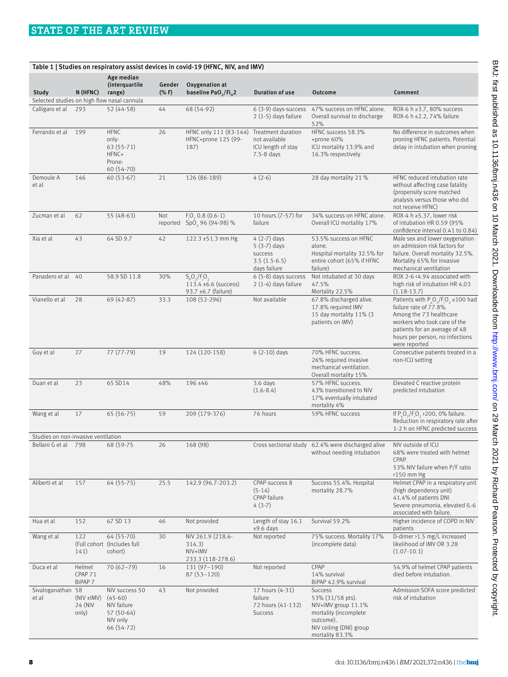| Table 1   Studies on respiratory assist devices in covid-19 (HFNC, NIV, and IMV) |                                     |                                                                                    |                  |                                                                       |                                                                             |                                                                                                                                        |                                                                                                                                                                                                                     |
|----------------------------------------------------------------------------------|-------------------------------------|------------------------------------------------------------------------------------|------------------|-----------------------------------------------------------------------|-----------------------------------------------------------------------------|----------------------------------------------------------------------------------------------------------------------------------------|---------------------------------------------------------------------------------------------------------------------------------------------------------------------------------------------------------------------|
|                                                                                  |                                     | Age median<br>(interquartile                                                       | Gender           | Oxygenation at                                                        |                                                                             |                                                                                                                                        |                                                                                                                                                                                                                     |
| Study                                                                            | N (HFNC)                            | range)<br>Selected studies on high flow nasal cannula                              | $(% )^{2}(x, F)$ | baseline PaO <sub>2</sub> /Fi <sub>0</sub> 2                          | <b>Duration of use</b>                                                      | Outcome                                                                                                                                | Comment                                                                                                                                                                                                             |
| Calligaro et al                                                                  | 293                                 | 52 (44-58)                                                                         | 44               | 68 (54-92)                                                            | $6(3-9)$ days-success<br>2 (1-5) days failure                               | 47% success on HFNC alone.<br>Overall survival to discharge<br>52%                                                                     | ROX-6 h ≥3.7, 80% success<br>ROX-6 h ≤2.2, 74% failure                                                                                                                                                              |
| Ferrando et al                                                                   | 199                                 | <b>HFNC</b><br>only:<br>63 (55-71)<br>HFNC+<br>Prone:<br>60 (54-70)                | 26               | HFNC only 111 (83-144)<br>HFNC+prone 125 (99-<br>187)                 | Treatment duration<br>not available<br>ICU length of stay<br>7.5-8 days     | HFNC success 58.3%<br>+prone 60%<br>ICU mortality 13.9% and<br>16.3% respectively                                                      | No difference in outcomes when<br>proning HFNC patients. Potential<br>delay in intubation when proning                                                                                                              |
| Demoule A<br>et al                                                               | 146                                 | $60(53-67)$                                                                        | 21               | 126 (86-189)                                                          | $4(2-6)$                                                                    | 28 day mortality 21 %                                                                                                                  | HFNC reduced intubation rate<br>without affecting case fatality<br>(propensity score matched<br>analysis versus those who did<br>not receive HFNC)                                                                  |
| Zucman et al                                                                     | 62                                  | 55 (48-63)                                                                         | Not              | $F_{0}$ , 0.8 $(0.6-1)$<br>reported SpO, 96 (94-98) %                 | 10 hours (7-57) for<br>failure                                              | 34% success on HFNC alone.<br>Overall ICU mortality 17%                                                                                | ROX-4 h $\geq$ 5.37, lower risk<br>of intubation HR 0.59 (95%<br>confidence interval 0.41 to 0.84)                                                                                                                  |
| Xia et al                                                                        | 43                                  | 64 SD 9.7                                                                          | 42               | 122.3 ±51.3 mm Hg                                                     | $4(2-7)$ days<br>$5(3-7)$ days<br>success<br>$3.5(1.5-6.5)$<br>days failure | 53.5% success on HFNC<br>alone.<br>Hospital mortality 32.5% for<br>entire cohort (65% if HFNC<br>failure)                              | Male sex and lower oxygenation<br>on admission risk factors for<br>failure. Overall mortality 32.5%.<br>Mortality 65% for invasive<br>mechanical ventilation                                                        |
| Panadero et al 40                                                                |                                     | 58.9 SD 11.8                                                                       | 30%              | $S_pO_2/F_iO_2$<br>$113.4 \pm 6.6$ (success)<br>93.7 $±6.7$ (failure) | 6 (5-8) days success<br>$2(1-4)$ days failure                               | Not intubated at 30 days<br>47.5%<br>Mortality 22.5%                                                                                   | ROX 2-6 <4.94 associated with<br>high risk of intubation HR 4.03<br>$(1.18-13.7)$                                                                                                                                   |
| Vianello et al                                                                   | 28                                  | 69 (42-87)                                                                         | 33.3             | 108 (52-296)                                                          | Not available                                                               | 67.8% discharged alive.<br>17.8% required IMV<br>15 day mortality 11% (3<br>patients on IMV)                                           | Patients with $P_0O_2/F_1O_2 \le 100$ had<br>failure rate of 77.8%.<br>Among the 73 healthcare<br>workers who took care of the<br>patients for an average of 48<br>hours per person, no infections<br>were reported |
| Guy et al                                                                        | 27                                  | 77 (77-79)                                                                         | 19               | 124 (120-158)                                                         | $6(2-10)$ days                                                              | 70% HFNC success.<br>26% required invasive<br>mechanical ventilation.<br>Overall mortality 15%                                         | Consecutive patients treated in a<br>non-ICU setting                                                                                                                                                                |
| Duan et al                                                                       | 23                                  | 65 SD14                                                                            | 48%              | $196 + 46$                                                            | 3.6 days<br>$(1.6 - 8.4)$                                                   | 57% HFNC success.<br>43% transitioned to NIV<br>17% eventually intubated<br>mortality 4%                                               | Elevated C reactive protein<br>predicted intubation                                                                                                                                                                 |
| Wang et al                                                                       | 17                                  | 65 (56-75)                                                                         | 59               | 209 (179-376)                                                         | 76 hours                                                                    | 59% HFNC success                                                                                                                       | If P O /F O > 200, 0% failure.<br>Reduction in respiratory rate after<br>1-2 h on HFNC predicted success                                                                                                            |
| Studies on non-invasive ventilation                                              |                                     |                                                                                    |                  |                                                                       |                                                                             |                                                                                                                                        |                                                                                                                                                                                                                     |
| Bellani G et al 798                                                              |                                     | 68 (59-75                                                                          | 26               | 168 (98)                                                              |                                                                             | Cross sectional study 62.4% were discharged alive<br>without needing intubation                                                        | NIV outside of ICU<br>68% were treated with helmet<br>CPAP.<br>53% NIV failure when P/F ratio<br><150 mm Hg                                                                                                         |
| Aliberti et al                                                                   | 157                                 | 64 (55-75)                                                                         | 25.5             | 142.9 (96.7-203.2)                                                    | CPAP success 8<br>$(5-14)$<br>CPAP failure<br>$4(3-7)$                      | Success 55.4%. Hospital<br>mortality 28.7%                                                                                             | Helmet CPAP in a respiratory unit<br>(high dependency unit)<br>41.4% of patients DNI<br>Severe pneumonia, elevated IL-6<br>associated with failure.                                                                 |
| Hua et al                                                                        | 152                                 | 67 SD 13                                                                           | 46               | Not provided                                                          | Length of stay 16.1<br>$±9.6$ days                                          | Survival 59.2%                                                                                                                         | Higher incidence of COPD in NIV<br>patients                                                                                                                                                                         |
| Wang et al                                                                       | 122<br>141)                         | 64 (55-70)<br>(Full cohort (Includes full)<br>cohort)                              | 30               | NIV 261.9 (218.6-<br>314.3)<br>NIV+IMV<br>233.3 (118-278.6)           | Not reported                                                                | 75% success. Mortality 17%<br>(incomplete data)                                                                                        | D-dimer >1.5 mg/L increased<br>likelihood of IMV OR 3.28<br>$(1.07-10.1)$                                                                                                                                           |
| Duca et al                                                                       | Helmet<br>CPAP 71<br>BiPAP 7        | $70(62 - 79)$                                                                      | 16               | $131(97-190)$<br>$87(53 - 120)$                                       | Not reported                                                                | CPAP<br>14% survival<br>BiPAP 42.9% survival                                                                                           | 54.9% of helmet CPAP patients<br>died before intubation.                                                                                                                                                            |
| Sivaloganathan 58<br>et al                                                       | $(NIV \pm lMV)$<br>24 (NIV<br>only) | NIV success 50<br>$(45-60)$<br>NIV failure<br>57 (50-64)<br>NIV only<br>66 (54-72) | 43               | Not provided                                                          | 17 hours (4-31)<br>failure<br>72 hours (41-132)<br>Success                  | Success<br>53% (31/58 pts).<br>NIV+IMV group 11.1%<br>mortality (incomplete<br>outcome).<br>NIV ceiling (DNI) group<br>mortality 83.3% | Admission SOFA score predicted<br>risk of intubation                                                                                                                                                                |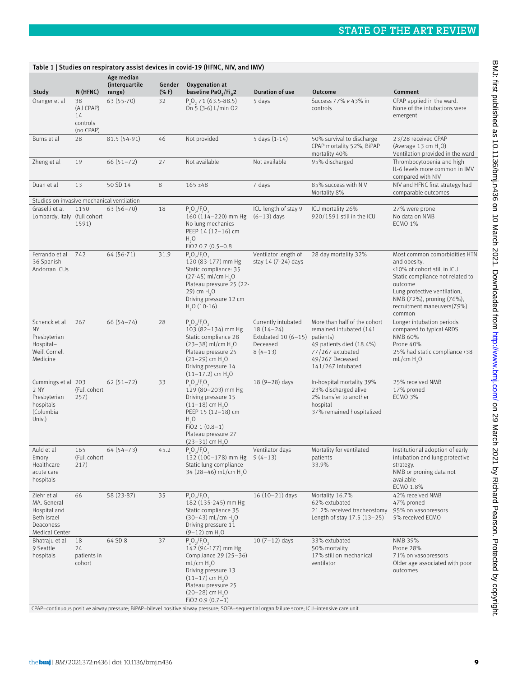| Table 1   Studies on respiratory assist devices in covid-19 (HFNC, NIV, and IMV)         |                                                 |                              |                  |                                                                                                                                                                                                                                |                                                                                     |                                                                                                                                                              |                                                                                                                                                                                                                                  |
|------------------------------------------------------------------------------------------|-------------------------------------------------|------------------------------|------------------|--------------------------------------------------------------------------------------------------------------------------------------------------------------------------------------------------------------------------------|-------------------------------------------------------------------------------------|--------------------------------------------------------------------------------------------------------------------------------------------------------------|----------------------------------------------------------------------------------------------------------------------------------------------------------------------------------------------------------------------------------|
|                                                                                          |                                                 | Age median<br>(interquartile | Gender           | Oxygenation at                                                                                                                                                                                                                 |                                                                                     |                                                                                                                                                              |                                                                                                                                                                                                                                  |
| Study                                                                                    | N (HFNC)                                        | range)                       | $(% )^{2}(x, F)$ | baseline PaO <sub>2</sub> /Fi <sub>o</sub> 2                                                                                                                                                                                   | Duration of use                                                                     | Outcome                                                                                                                                                      | Comment                                                                                                                                                                                                                          |
| Oranger et al                                                                            | 38<br>(All CPAP)<br>14<br>controls<br>(no CPAP) | 63 (55-70)                   | 32               | P <sub>2</sub> O <sub>2</sub> , 71 (63.5-88.5)<br>On 5 (3-6) L/min O2                                                                                                                                                          | 5 days                                                                              | Success 77% v 43% in<br>controls                                                                                                                             | CPAP applied in the ward.<br>None of the intubations were<br>emergent                                                                                                                                                            |
| Burns et al                                                                              | 28                                              | 81.5 (54-91)                 | 46               | Not provided                                                                                                                                                                                                                   | 5 days (1-14)                                                                       | 50% survival to discharge<br>CPAP mortality 52%, BiPAP<br>mortality 40%                                                                                      | 23/28 received CPAP<br>(Average 13 cm H <sub>2</sub> O)<br>Ventilation provided in the ward                                                                                                                                      |
| Zheng et al                                                                              | 19                                              | $66(51 - 72)$                | 27               | Not available                                                                                                                                                                                                                  | Not available                                                                       | 95% discharged                                                                                                                                               | Thrombocytopenia and high<br>IL-6 levels more common in IMV<br>compared with NIV                                                                                                                                                 |
| Duan et al                                                                               | 13                                              | 50 SD 14                     | 8                | $165 \pm 48$                                                                                                                                                                                                                   | 7 days                                                                              | 85% success with NIV<br>Mortality 8%                                                                                                                         | NIV and HFNC first strategy had<br>comparable outcomes                                                                                                                                                                           |
| Studies on invasive mechanical ventilation                                               |                                                 |                              |                  |                                                                                                                                                                                                                                |                                                                                     |                                                                                                                                                              |                                                                                                                                                                                                                                  |
| Graselli et al<br>Lombardy, Italy (full cohort                                           | 1150<br>1591)                                   | $63(56 - 70)$                | 18               | $P_0O_2/F_1O_2$<br>160 (114-220) mm Hg<br>No lung mechanics<br>PEEP 14 (12-16) cm<br>H <sub>2</sub> O<br>$FiO2$ 0.7 (0.5-0.8)                                                                                                  | ICU length of stay 9<br>$(6-13)$ days                                               | ICU mortality 26%<br>920/1591 still in the ICU                                                                                                               | 27% were prone<br>No data on NMB<br><b>ECMO 1%</b>                                                                                                                                                                               |
| Ferrando et al<br>36 Spanish<br>Andorran ICUs                                            | 742                                             | 64 (56-71)                   | 31.9             | $P O_2/F O_2$<br>120 (83-177) mm Hg<br>Static compliance: 35<br>$(27-45)$ ml/cm H <sub>2</sub> O<br>Plateau pressure 25 (22-<br>29) cm $H_1O$<br>Driving pressure 12 cm<br>$H2O (10-16)$                                       | Ventilator length of<br>stay 14 (7-24) days                                         | 28 day mortality 32%                                                                                                                                         | Most common comorbidities HTN<br>and obesity.<br><10% of cohort still in ICU<br>Static compliance not related to<br>outcome<br>Lung protective ventilation,<br>NMB (72%), proning (76%),<br>recruitment maneuvers(79%)<br>common |
| Schenck et al<br>NY<br>Presbyterian<br>Hospital-<br>Weill Cornell<br>Medicine            | 267                                             | $66(54 - 74)$                | 28               | $P_0O_2/F_1O_2$<br>103 (82-134) mm Hg<br>Static compliance 28<br>$(23-38)$ ml/cm H <sub>3</sub> O<br>Plateau pressure 25<br>$(21-29)$ cm H <sub>2</sub> O<br>Driving pressure 14<br>$(11-17.2)$ cm H <sub>2</sub> O            | Currently intubated<br>$18(14-24)$<br>Extubated $10(6-15)$<br>Deceased<br>$8(4-13)$ | More than half of the cohort<br>remained intubated (141<br>patients)<br>49 patients died (18.4%)<br>77/267 extubated<br>49/267 Deceased<br>141/267 Intubated | Longer intubation periods<br>compared to typical ARDS<br><b>NMB 60%</b><br>Prone 40%<br>25% had static compliance > 38<br>mL/cm H <sub>2</sub> O                                                                                 |
| Cummings et al 203<br>2 NY<br>Presbyterian<br>hospitals<br>(Columbia<br>Univ.)           | (Full cohort<br>257)                            | $62(51 - 72)$                | 33               | $P O_2/F O_2$<br>129 (80-203) mm Hg<br>Driving pressure 15<br>$(11-18)$ cm H <sub>2</sub> O<br>PEEP 15 (12-18) cm<br>H <sub>2</sub> O<br>$FiO2 1 (0.8-1)$<br>Plateau pressure 27<br>$(23-31)$ cm H <sub>2</sub> O              | 18 (9-28) days                                                                      | In-hospital mortality 39%<br>23% discharged alive<br>2% transfer to another<br>hospital<br>37% remained hospitalized                                         | 25% received NMB<br>17% proned<br><b>ECMO 3%</b>                                                                                                                                                                                 |
| Auld et al<br>Emory<br>Healthcare<br>acute care<br>hospitals                             | 165<br>(Full cohort<br>217)                     | $64(54 - 73)$                | 45.2             | $P_{a}O_{2}/F_{i}O_{2}$<br>132 (100-178) mm Hg<br>Static lung compliance<br>34 (28-46) mL/cm H <sub>2</sub> O                                                                                                                  | Ventilator days<br>$9(4-13)$                                                        | Mortality for ventilated<br>patients<br>33.9%                                                                                                                | Institutional adoption of early<br>intubation and lung protective<br>strategy.<br>NMB or proning data not<br>available<br>ECMO 1.8%                                                                                              |
| Ziehr et al<br>MA. General<br>Hospital and<br>Beth Israel<br>Deaconess<br>Medical Center | 66                                              | 58 (23-87)                   | 35               | $P_0O_2/F_1O_2$<br>182 (135-245) mm Hg<br>Static compliance 35<br>$(30-43)$ mL/cm H <sub>2</sub> O<br>Driving pressure 11<br>$(9-12)$ cm H <sub>2</sub> O                                                                      | $16(10-21)$ days                                                                    | Mortality 16.7%<br>62% extubated<br>21.2% received tracheostomy<br>Length of stay $17.5$ $(13-25)$                                                           | 42% received NMB<br>47% proned<br>95% on vasopressors<br>5% received ECMO                                                                                                                                                        |
| Bhatraju et al<br>9 Seattle<br>hospitals                                                 | 18<br>24<br>patients in<br>cohort               | 64 SD 8                      | 37               | $P_0O_2/F_1O_2$<br>142 (94-177) mm Hg<br>Compliance 29 (25-36)<br>mL/cm H <sub>2</sub> O<br>Driving pressure 13<br>$(11-17)$ cm H <sub>2</sub> O<br>Plateau pressure 25<br>$(20-28)$ cm H <sub>2</sub> O<br>$FiO2 0.9 (0.7-1)$ | $10(7-12)$ days                                                                     | 33% extubated<br>50% mortality<br>17% still on mechanical<br>ventilator                                                                                      | NMB 39%<br>Prone 28%<br>71% on vasopressors<br>Older age associated with poor<br>outcomes                                                                                                                                        |

CPAP=continuous positive airway pressure; BiPAP=bilevel positive airway pressure; SOFA=sequential organ failure score; ICU=intensive care unit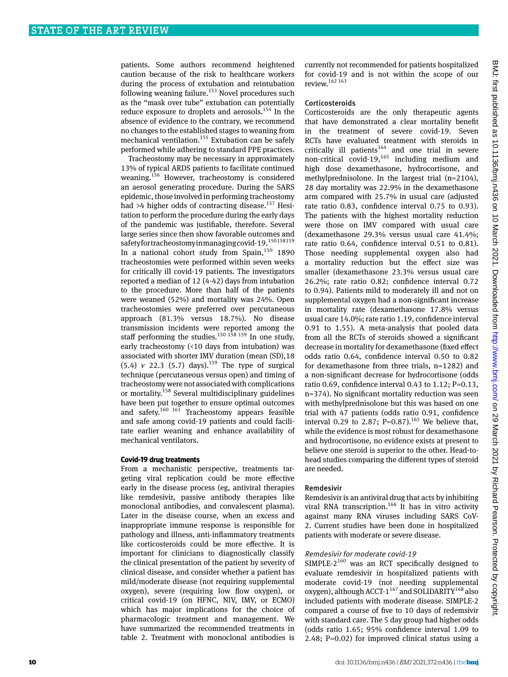patients. Some authors recommend heightened caution because of the risk to healthcare workers during the process of extubation and reintubation following weaning failure.<sup>153</sup> Novel procedures such as the "mask over tube" extubation can potentially reduce exposure to droplets and aerosols.<sup>154</sup> In the absence of evidence to the contrary, we recommend no changes to the established stages to weaning from mechanical ventilation.<sup>155</sup> Extubation can be safely performed while adhering to standard PPE practices.

Tracheostomy may be necessary in approximately 13% of typical ARDS patients to facilitate continued weaning.<sup>156</sup> However, tracheostomy is considered an aerosol generating procedure. During the SARS epidemic, those involved in performing tracheostomy had >4 higher odds of contracting disease.<sup>157</sup> Hesitation to perform the procedure during the early days of the pandemic was justifiable, therefore. Several large series since then show favorable outcomes and safety for tracheostomy in managing covid-19.<sup>150158159</sup> In a national cohort study from Spain,<sup>150</sup> 1890 tracheostomies were performed within seven weeks for critically ill covid-19 patients. The investigators reported a median of 12 (4-42) days from intubation to the procedure. More than half of the patients were weaned (52%) and mortality was 24%. Open tracheostomies were preferred over percutaneous approach (81.3% versus 18.7%). No disease transmission incidents were reported among the staff performing the studies.<sup>150 158 159</sup> In one study, early tracheostomy (<10 days from intubation) was associated with shorter IMV duration (mean (SD),18  $(5.4)$   $v$  22.3  $(5.7)$  days).<sup>159</sup> The type of surgical technique (percutaneous versus open) and timing of tracheostomy were not associated with complications or mortality.<sup>158</sup> Several multidisciplinary guidelines have been put together to ensure optimal outcomes and safety.<sup>160 161</sup> Tracheostomy appears feasible and safe among covid-19 patients and could facilitate earlier weaning and enhance availability of mechanical ventilators.

## **Covid-19 drug treatments**

From a mechanistic perspective, treatments targeting viral replication could be more effective early in the disease process (eg, antiviral therapies like remdesivir, passive antibody therapies like monoclonal antibodies, and convalescent plasma). Later in the disease course, when an excess and inappropriate immune response is responsible for pathology and illness, anti-inflammatory treatments like corticosteroids could be more effective. It is important for clinicians to diagnostically classify the clinical presentation of the patient by severity of clinical disease, and consider whether a patient has mild/moderate disease (not requiring supplemental oxygen), severe (requiring low flow oxygen), or critical covid-19 (on HFNC, NIV, IMV, or ECMO) which has major implications for the choice of pharmacologic treatment and management. We have summarized the recommended treatments in table 2. Treatment with monoclonal antibodies is

currently not recommended for patients hospitalized for covid-19 and is not within the scope of our review.162 163

#### Corticosteroids

Corticosteroids are the only therapeutic agents that have demonstrated a clear mortality benefit in the treatment of severe covid-19. Seven RCTs have evaluated treatment with steroids in critically ill patients<sup>164</sup> and one trial in severe non-critical covid-19,<sup>165</sup> including medium and high dose dexamethasone, hydrocortisone, and methylprednisolone. In the largest trial (n=2104), 28 day mortality was 22.9% in the dexamethasone arm compared with 25.7% in usual care (adjusted rate ratio 0.83, confidence interval 0.75 to 0.93). The patients with the highest mortality reduction were those on IMV compared with usual care (dexamethasone 29.3% versus usual care 41.4%; rate ratio 0.64, confidence interval 0.51 to 0.81). Those needing supplemental oxygen also had a mortality reduction but the effect size was smaller (dexamethasone 23.3% versus usual care 26.2%; rate ratio 0.82; confidence interval 0.72 to 0.94). Patients mild to moderately ill and not on supplemental oxygen had a non-significant increase in mortality rate (dexamethasone 17.8% versus usual care 14.0%; rate ratio 1.19, confidence interval 0.91 to 1.55). A meta-analysis that pooled data from all the RCTs of steroids showed a significant decrease in mortality for dexamethasone (fixed effect odds ratio 0.64, confidence interval 0.50 to 0.82 for dexamethasone from three trials, n=1282) and a non-significant decrease for hydrocortisone (odds ratio 0.69, confidence interval 0.43 to 1.12; P=0.13, n=374). No significant mortality reduction was seen with methylprednisolone but this was based on one trial with 47 patients (odds ratio 0.91, confidence interval 0.29 to 2.87; P=0.87).<sup>165</sup> We believe that, while the evidence is most robust for dexamethasone and hydrocortisone, no evidence exists at present to believe one steroid is superior to the other. Head-tohead studies comparing the different types of steroid are needed.

#### Remdesivir

Remdesivir is an antiviral drug that acts by inhibiting viral RNA transcription.<sup>166</sup> It has in vitro activity against many RNA viruses including SARS CoV-2. Current studies have been done in hospitalized patients with moderate or severe disease.

#### Remdesivir for moderate covid-19

SIMPLE- $2^{160}$  was an RCT specifically designed to evaluate remdesivir in hospitalized patients with moderate covid-19 (not needing supplemental oxygen), although ACCT- $1^{167}$  and SOLIDARITY<sup>168</sup> also included patients with moderate disease. SIMPLE-2 compared a course of five to 10 days of redemsivir with standard care. The 5 day group had higher odds (odds ratio 1.65; 95% confidence interval 1.09 to 2.48; P=0.02) for improved clinical status using a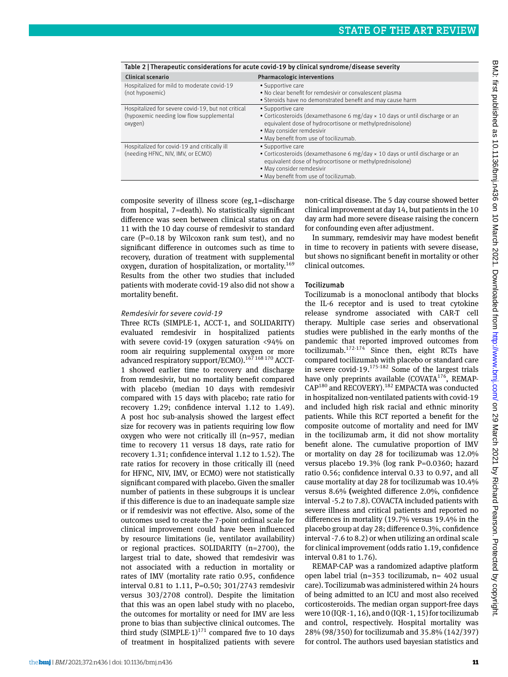|                                                    | Table 2   Therapeutic considerations for acute covid-19 by chilical syndrome/disease severity |
|----------------------------------------------------|-----------------------------------------------------------------------------------------------|
| <b>Clinical scenario</b>                           | <b>Pharmacologic interventions</b>                                                            |
| Hospitalized for mild to moderate covid-19         | • Supportive care                                                                             |
| (not hypoxemic)                                    | . No clear benefit for remdesivir or convalescent plasma                                      |
|                                                    | • Steroids have no demonstrated benefit and may cause harm                                    |
| Hospitalized for severe covid-19, but not critical | • Supportive care                                                                             |
| (hypoxemic needing low flow supplemental           | • Corticosteroids (dexamethasone 6 $mg/day \times 10$ days or until discharge or an           |
| oxygen)                                            | equivalent dose of hydrocortisone or methylprednisolone)                                      |
|                                                    | • May consider remdesivir                                                                     |
|                                                    | • May benefit from use of tocilizumab.                                                        |
| Hospitalized for covid-19 and critically ill       | • Supportive care                                                                             |
| (needing HFNC, NIV, IMV, or ECMO)                  | • Corticosteroids (dexamethasone 6 $mg/day \times 10$ days or until discharge or an           |
|                                                    | equivalent dose of hydrocortisone or methylprednisolone)                                      |
|                                                    | • May consider remdesivir                                                                     |
|                                                    | • May benefit from use of tocilizumab.                                                        |
|                                                    |                                                                                               |

Table 2 | Therapeutic considerations for acute covid-19 by clinical syndrome/disease severity

composite severity of illness score (eg,1=discharge from hospital, 7=death). No statistically significant difference was seen between clinical status on day 11 with the 10 day course of remdesivir to standard care (P=0.18 by Wilcoxon rank sum test), and no significant difference in outcomes such as time to recovery, duration of treatment with supplemental oxygen, duration of hospitalization, or mortality.<sup>169</sup> Results from the other two studies that included patients with moderate covid-19 also did not show a mortality benefit.

#### Remdesivir for severe covid-19

Three RCTs (SIMPLE-1, ACCT-1, and SOLIDARITY) evaluated remdesivir in hospitalized patients with severe covid-19 (oxygen saturation <94% on room air requiring supplemental oxygen or more advanced respiratory support/ECMO).<sup>167</sup> 168 170</sup> ACCT-1 showed earlier time to recovery and discharge from remdesivir, but no mortality benefit compared with placebo (median 10 days with remdesivir compared with 15 days with placebo; rate ratio for recovery 1.29; confidence interval 1.12 to 1.49). A post hoc sub-analysis showed the largest effect size for recovery was in patients requiring low flow oxygen who were not critically ill (n=957, median time to recovery 11 versus 18 days, rate ratio for recovery 1.31; confidence interval 1.12 to 1.52). The rate ratios for recovery in those critically ill (need for HFNC, NIV, IMV, or ECMO) were not statistically significant compared with placebo. Given the smaller number of patients in these subgroups it is unclear if this difference is due to an inadequate sample size or if remdesivir was not effective. Also, some of the outcomes used to create the 7-point ordinal scale for clinical improvement could have been influenced by resource limitations (ie, ventilator availability) or regional practices. SOLIDARITY (n=2700), the largest trial to date, showed that remdesivir was not associated with a reduction in mortality or rates of IMV (mortality rate ratio 0.95, confidence interval 0.81 to 1.11, P=0.50; 301/2743 remdesivir versus 303/2708 control). Despite the limitation that this was an open label study with no placebo, the outcomes for mortality or need for IMV are less prone to bias than subjective clinical outcomes. The third study (SIMPLE-1) $^{171}$  compared five to 10 days of treatment in hospitalized patients with severe

non-critical disease. The 5 day course showed better clinical improvement at day 14, but patients in the 10 day arm had more severe disease raising the concern for confounding even after adjustment.

In summary, remdesivir may have modest benefit in time to recovery in patients with severe disease, but shows no significant benefit in mortality or other clinical outcomes.

## Tocilizumab

Tocilizumab is a monoclonal antibody that blocks the IL-6 receptor and is used to treat cytokine release syndrome associated with CAR-T cell therapy. Multiple case series and observational studies were published in the early months of the pandemic that reported improved outcomes from tocilizumab. $172-174$  Since then, eight RCTs have compared tocilizumab with placebo or standard care in severe covid-19. $175-182}$  Some of the largest trials have only preprints available (COVATA<sup>176</sup>, REMAP-CAP180 and RECOVERY).182 EMPACTA was conducted in hospitalized non-ventilated patients with covid-19 and included high risk racial and ethnic minority patients. While this RCT reported a benefit for the composite outcome of mortality and need for IMV in the tocilizumab arm, it did not show mortality benefit alone. The cumulative proportion of IMV or mortality on day 28 for tocilizumab was 12.0% versus placebo 19.3% (log rank P=0.0360; hazard ratio 0.56; confidence interval 0.33 to 0.97, and all cause mortality at day 28 for tocilizumab was 10.4% versus 8.6% **(**weighted difference 2.0%, confidence interval -5.2 to 7.8). COVACTA included patients with severe illness and critical patients and reported no differences in mortality (19.7% versus 19.4% in the placebo group at day 28; difference 0.3%, confidence interval -7.6 to 8.2) or when utilizing an ordinal scale for clinical improvement (odds ratio 1.19, confidence interval 0.81 to 1.76).

REMAP-CAP was a randomized adaptive platform open label trial (n=353 tocilizumab, n= 402 usual care). Tocilizumab was administered within 24 hours of being admitted to an ICU and most also received corticosteroids. The median organ support-free days were 10 (IQR -1, 16), and 0 (IQR -1, 15) for tocilizumab and control, respectively. Hospital mortality was 28% (98/350) for tocilizumab and 35.8% (142/397) for control. The authors used bayesian statistics and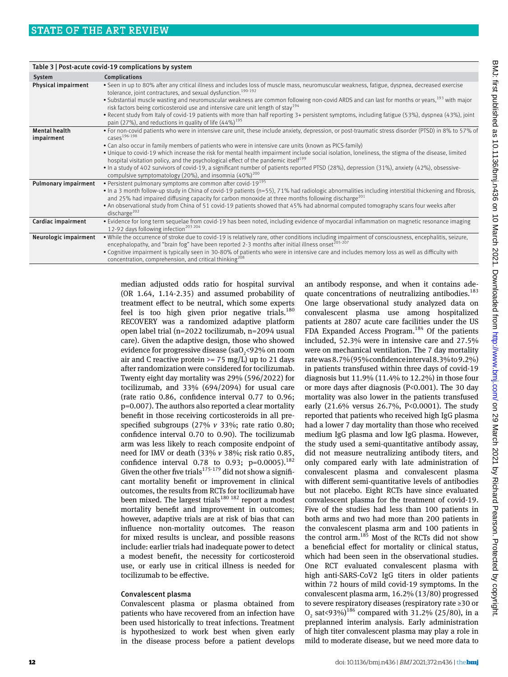|                                    | Table 3   Post-acute covid-19 complications by system                                                                                                                                                                                                                   |
|------------------------------------|-------------------------------------------------------------------------------------------------------------------------------------------------------------------------------------------------------------------------------------------------------------------------|
| System                             | Complications                                                                                                                                                                                                                                                           |
| Physical impairment                | . Seen in up to 80% after any critical illness and includes loss of muscle mass, neuromuscular weakness, fatigue, dyspnea, decreased exercise<br>tolerance, joint contractures, and sexual dysfunction. <sup>190-192</sup>                                              |
|                                    | • Substantial muscle wasting and neuromuscular weakness are common following non-covid ARDS and can last for months or years, 193 with major<br>risk factors being corticosteroid use and intensive care unit length of stay <sup>194</sup>                             |
|                                    | • Recent study from Italy of covid-19 patients with more than half reporting 3+ persistent symptoms, including fatigue (53%), dyspnea (43%), joint<br>pain (27%), and reductions in quality of life $(44\%)^{195}$                                                      |
| <b>Mental health</b><br>impairment | • For non-covid patients who were in intensive care unit, these include anxiety, depression, or post-traumatic stress disorder (PTSD) in 8% to 57% of<br>cases <sup>196-198</sup>                                                                                       |
|                                    | • Can also occur in family members of patients who were in intensive care units (known as PICS-family)                                                                                                                                                                  |
|                                    | • Unique to covid-19 which increase the risk for mental health impairment include social isolation, loneliness, the stigma of the disease, limited<br>hospital visitation policy, and the psychological effect of the pandemic itself <sup>199</sup>                    |
|                                    | • In a study of 402 survivors of covid-19, a significant number of patients reported PTSD (28%), depression (31%), anxiety (42%), obsessive-<br>compulsive symptomatology (20%), and insomnia $(40\%)^{200}$                                                            |
| <b>Pulmonary impairment</b>        | • Persistent pulmonary symptoms are common after covid- $19^{195}$                                                                                                                                                                                                      |
|                                    | • In a 3 month follow-up study in China of covid-19 patients (n=55), 71% had radiologic abnormalities including interstitial thickening and fibrosis,<br>and 25% had impaired diffusing capacity for carbon monoxide at three months following discharge <sup>201</sup> |
|                                    | • An observational study from China of 51 covid-19 patients showed that 45% had abnormal computed tomography scans four weeks after<br>discharge $^{202}$                                                                                                               |
| Cardiac impairment                 | • Evidence for long term sequelae from covid-19 has been noted, including evidence of myocardial inflammation on magnetic resonance imaging<br>12-92 days following infection <sup>203 204</sup>                                                                        |
| Neurologic impairment              | . While the occurrence of stroke due to covid-19 is relatively rare, other conditions including impairment of consciousness, encephalitis, seizure,<br>encephalopathy, and "brain fog" have been reported 2-3 months after initial illness onset <sup>205-207</sup>     |
|                                    | • Cognitive impairment is typically seen in 30-80% of patients who were in intensive care and includes memory loss as well as difficulty with<br>concentration, comprehension, and critical thinking <sup>208</sup>                                                     |

median adjusted odds ratio for hospital survival (OR 1.64, 1.14-2.35) and assumed probability of treatment effect to be neutral, which some experts feel is too high given prior negative trials. $180$ RECOVERY was a randomized adaptive platform open label trial (n=2022 tocilizumab, n=2094 usual care). Given the adaptive design, those who showed evidence for progressive disease (sa $O<sub>2</sub>$ <92% on room air and C reactive protein >= 75 mg/ $\overline{L}$ ) up to 21 days after randomization were considered for tocilizumab. Twenty eight day mortality was 29% (596/2022) for tocilizumab, and 33% (694/2094) for usual care (rate ratio 0.86, confidence interval 0.77 to 0.96; p=0.007). The authors also reported a clear mortality benefit in those receiving corticosteroids in all prespecified subgroups (27% *v* 33%; rate ratio 0.80; confidence interval 0.70 to 0.90). The tocilizumab arm was less likely to reach composite endpoint of need for IMV or death (33% *v* 38%; risk ratio 0.85, confidence interval 0.78 to 0.93; p=0.0005).<sup>182</sup> Given the other five trials<sup>175-179</sup> did not show a significant mortality benefit or improvement in clinical outcomes, the results from RCTs for tocilizumab have been mixed. The largest trials<sup>180 182</sup> report a modest mortality benefit and improvement in outcomes; however, adaptive trials are at risk of bias that can influence non-mortality outcomes. The reason for mixed results is unclear, and possible reasons include: earlier trials had inadequate power to detect a modest benefit, the necessity for corticosteroid use, or early use in critical illness is needed for tocilizumab to be effective.

# Convalescent plasma

Convalescent plasma or plasma obtained from patients who have recovered from an infection have been used historically to treat infections. Treatment is hypothesized to work best when given early in the disease process before a patient develops an antibody response, and when it contains adequate concentrations of neutralizing antibodies.<sup>183</sup> One large observational study analyzed data on convalescent plasma use among hospitalized patients at 2807 acute care facilities under the US FDA Expanded Access Program.<sup>184</sup> Of the patients included, 52.3% were in intensive care and 27.5% were on mechanical ventilation. The 7 day mortality rate was 8.7% (95% confidence interval 8.3% to 9.2%) in patients transfused within three days of covid-19 diagnosis but 11.9% (11.4% to 12.2%) in those four or more days after diagnosis (P<0.001). The 30 day mortality was also lower in the patients transfused early (21.6% versus 26.7%, P<0.0001). The study reported that patients who received high IgG plasma had a lower 7 day mortality than those who received medium IgG plasma and low IgG plasma. However, the study used a semi-quantitative antibody assay, did not measure neutralizing antibody titers, and only compared early with late administration of convalescent plasma and convalescent plasma with different semi-quantitative levels of antibodies but not placebo. Eight RCTs have since evaluated convalescent plasma for the treatment of covid-19. Five of the studies had less than 100 patients in both arms and two had more than 200 patients in the convalescent plasma arm and 100 patients in the control arm.<sup>185</sup> Most of the RCTs did not show a beneficial effect for mortality or clinical status, which had been seen in the observational studies. One RCT evaluated convalescent plasma with high anti-SARS-CoV2 IgG titers in older patients within 72 hours of mild covid-19 symptoms. In the convalescent plasma arm, 16.2% (13/80) progressed to severe respiratory diseases (respiratory rate ≥30 or  $O_2$  sat<93%)<sup>186</sup> compared with 31.2% (25/80), in a preplanned interim analysis. Early administration of high titer convalescent plasma may play a role in mild to moderate disease, but we need more data to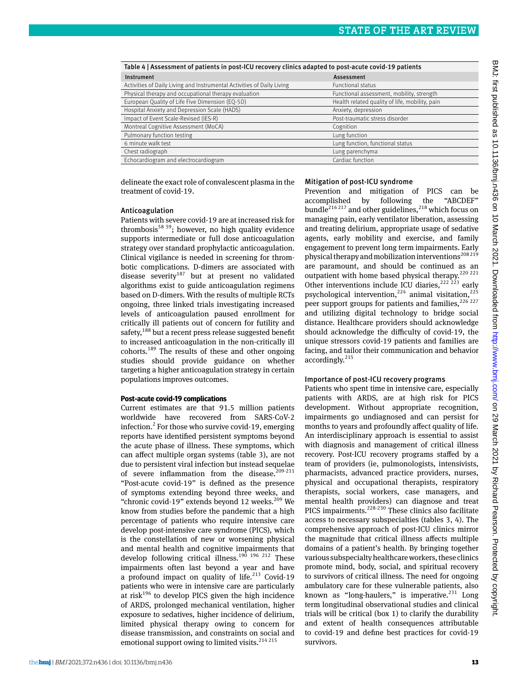| Table 4   Assessment of patients in post-ICU recovery clinics adapted to post-acute covid-19 patients |                                                |  |  |  |
|-------------------------------------------------------------------------------------------------------|------------------------------------------------|--|--|--|
| Instrument                                                                                            | Assessment                                     |  |  |  |
| Activities of Daily Living and Instrumental Activities of Daily Living                                | <b>Functional status</b>                       |  |  |  |
| Physical therapy and occupational therapy evaluation                                                  | Functional assessment, mobility, strength      |  |  |  |
| European Quality of Life Five Dimension (EQ-5D)                                                       | Health related quality of life, mobility, pain |  |  |  |
| Hospital Anxiety and Depression Scale (HADS)                                                          | Anxiety, depression                            |  |  |  |
| Impact of Event Scale-Revised (IES-R)                                                                 | Post-traumatic stress disorder                 |  |  |  |
| Montreal Cognitive Assessment (MoCA)                                                                  | Cognition                                      |  |  |  |
| Pulmonary function testing                                                                            | Lung function                                  |  |  |  |
| 6 minute walk test                                                                                    | Lung function, functional status               |  |  |  |
| Chest radiograph                                                                                      | Lung parenchyma                                |  |  |  |
| Echocardiogram and electrocardiogram                                                                  | Cardiac function                               |  |  |  |

delineate the exact role of convalescent plasma in the treatment of covid-19.

#### Anticoagulation

Patients with severe covid-19 are at increased risk for thrombosis<sup>58 59</sup>; however, no high quality evidence supports intermediate or full dose anticoagulation strategy over standard prophylactic anticoagulation. Clinical vigilance is needed in screening for thrombotic complications. D-dimers are associated with disease severity<sup>187</sup> but at present no validated algorithms exist to guide anticoagulation regimens based on D-dimers. With the results of multiple RCTs ongoing, three linked trials investigating increased levels of anticoagulation paused enrollment for critically ill patients out of concern for futility and safety,<sup>188</sup> but a recent press release suggested benefit to increased anticoagulation in the non-critically ill cohorts.189 The results of these and other ongoing studies should provide guidance on whether targeting a higher anticoagulation strategy in certain populations improves outcomes.

#### **Post-acute covid-19 complications**

Current estimates are that 91.5 million patients worldwide have recovered from SARS-CoV-2 infection.<sup>2</sup> For those who survive covid-19, emerging reports have identified persistent symptoms beyond the acute phase of illness. These symptoms, which can affect multiple organ systems (table 3), are not due to persistent viral infection but instead sequelae of severe inflammation from the disease.<sup>209-211</sup> "Post-acute covid-19" is defined as the presence of symptoms extending beyond three weeks, and "chronic covid-19" extends beyond 12 weeks.<sup>209</sup> We know from studies before the pandemic that a high percentage of patients who require intensive care develop post-intensive care syndrome (PICS), which is the constellation of new or worsening physical and mental health and cognitive impairments that develop following critical illness.<sup>190 196 212</sup> These impairments often last beyond a year and have a profound impact on quality of life. $213$  Covid-19 patients who were in intensive care are particularly at risk $196$  to develop PICS given the high incidence of ARDS, prolonged mechanical ventilation, higher exposure to sedatives, higher incidence of delirium, limited physical therapy owing to concern for disease transmission, and constraints on social and emotional support owing to limited visits.<sup>214 215</sup>

# Mitigation of post-ICU syndrome

Prevention and mitigation of PICS can be accomplished by following the "ABCDEF" bundle<sup>216 217</sup> and other guidelines.<sup>218</sup> which focus on managing pain, early ventilator liberation, assessing and treating delirium, appropriate usage of sedative agents, early mobility and exercise, and family engagement to prevent long term impairments. Early physical therapy and mobilization interventions<sup>208219</sup> are paramount, and should be continued as an outpatient with home based physical therapy.<sup>220</sup><sup>221</sup> Other interventions include ICU diaries,<sup>222 223</sup> early psychological intervention,<sup>224</sup> animal visitation,<sup>225</sup> peer support groups for patients and families,  $226227$ and utilizing digital technology to bridge social distance. Healthcare providers should acknowledge should acknowledge the difficulty of covid-19, the unique stressors covid-19 patients and families are facing, and tailor their communication and behavior accordingly.<sup>215</sup>

### Importance of post-ICU recovery programs

Patients who spent time in intensive care, especially patients with ARDS, are at high risk for PICS development. Without appropriate recognition, impairments go undiagnosed and can persist for months to years and profoundly affect quality of life. An interdisciplinary approach is essential to assist with diagnosis and management of critical illness recovery. Post-ICU recovery programs staffed by a team of providers (ie, pulmonologists, intensivists, pharmacists, advanced practice providers, nurses, physical and occupational therapists, respiratory therapists, social workers, case managers, and mental health providers) can diagnose and treat PICS impairments.<sup>228-230</sup> These clinics also facilitate access to necessary subspecialties (tables 3, 4). The comprehensive approach of post-ICU clinics mirror the magnitude that critical illness affects multiple domains of a patient's health. By bringing together various subspecialty healthcare workers, these clinics promote mind, body, social, and spiritual recovery to survivors of critical illness. The need for ongoing ambulatory care for these vulnerable patients, also known as "long-haulers," is imperative.<sup>231</sup> Long term longitudinal observational studies and clinical trials will be critical (box 1) to clarify the durability and extent of health consequences attributable to covid-19 and define best practices for covid-19 survivors.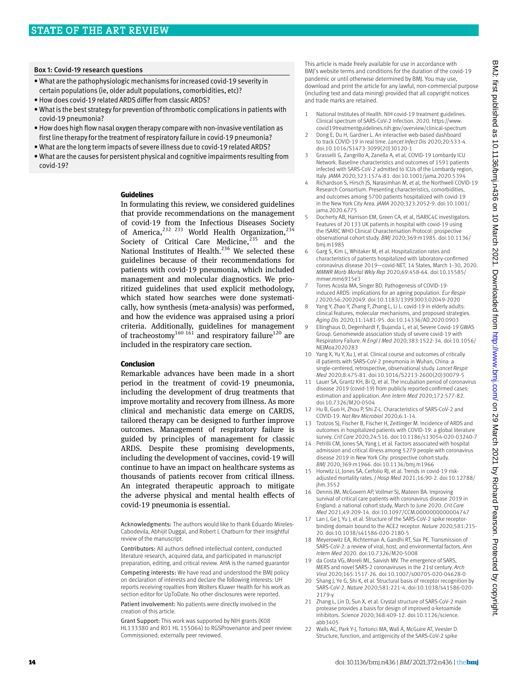#### Box 1: Covid-19 research questions

- What are the pathophysiologic mechanisms for increased covid-19 severity in certain populations (ie, older adult populations, comorbidities, etc)?
- • How does covid-19 related ARDS differ from classic ARDS?
- • What is the best strategy for prevention of thrombotic complications in patients with covid-19 pneumonia?
- • How does high flow nasal oxygen therapy compare with non-invasive ventilation as first line therapy for the treatment of respiratory failure in covid-19 pneumonia?
- What are the long term impacts of severe illness due to covid-19 related ARDS?
- • What are the causes for persistent physical and cognitive impairments resulting from covid-19?

#### **Guidelines**

In formulating this review, we considered guidelines that provide recommendations on the management of covid-19 from the Infectious Diseases Society of America.<sup>232 233</sup> World Health Organization,<sup>234</sup> Society of Critical Care Medicine, $235$  and the National Institutes of Health.<sup>236</sup> We selected these guidelines because of their recommendations for patients with covid-19 pneumonia, which included management and molecular diagnostics. We prioritized guidelines that used explicit methodology, which stated how searches were done systematically, how synthesis (meta-analysis) was performed, and how the evidence was appraised using a priori criteria. Additionally, guidelines for management of tracheostomy<sup>160 161</sup> and respiratory failure<sup>120</sup> are included in the respiratory care section.

#### **Conclusion**

Remarkable advances have been made in a short period in the treatment of covid-19 pneumonia, including the development of drug treatments that improve mortality and recovery from illness. As more clinical and mechanistic data emerge on CARDS, tailored therapy can be designed to further improve outcomes. Management of respiratory failure is guided by principles of management for classic ARDS. Despite these promising developments, including the development of vaccines, covid-19 will continue to have an impact on healthcare systems as thousands of patients recover from critical illness. An integrated therapeutic approach to mitigate the adverse physical and mental health effects of covid-19 pneumonia is essential.

Acknowledgments: The authors would like to thank Eduardo Mireles-Cabodevila, Abhijit Duggal, and Robert L Chatburn for their insightful review of the manuscript.

Contributors: All authors defined intellectual content, conducted literature research, acquired data, and participated in manuscript preparation, editing, and critical review. AHA is the named guarantor

Competing interests: We have read and understood the BMJ policy on declaration of interests and declare the following interests: UH reports receiving royalties from Wolters Kluwer Health for his work as section editor for UpToDate. No other disclosures were reported.

Patient involvement: No patients were directly involved in the creation of this article.

Grant Support: This work was supported by NIH grants (K08 HL133380 and R01 HL 155064) to RGSProvenance and peer review: Commissioned; externally peer reviewed.

This article is made freely available for use in accordance with BMJ's website terms and conditions for the duration of the covid-19 pandemic or until otherwise determined by BMJ. You may use, download and print the article for any lawful, non-commercial purpose (including text and data mining) provided that all copyright notices and trade marks are retained.

- 1 National Institutes of Health. NIH covid-19 treatment guidelines. Clinical spectrum of SARS-CoV-2 Infection. 2020. https://www. covid19treatmentguidelines.nih.gov/overview/clinical-spectrum
- 2 Dong E, Du H, Gardner L. An interactive web-based dashboard to track COVID-19 in real time. *Lancet Infect Dis* 2020;20:533-4. doi:10.1016/S1473-3099(20)30120-1
- 3 Grasselli G, Zangrillo A, Zanella A, et al, COVID-19 Lombardy ICU Network. Baseline characteristics and outcomes of 1591 patients infected with SARS-CoV-2 admitted to ICUs of the Lombardy region, Italy. *JAMA* 2020;323:1574-81. doi:10.1001/jama.2020.5394
- Richardson S, Hirsch JS, Narasimhan M, et al, the Northwell COVID-19 Research Consortium. Presenting characteristics, comorbidities, and outcomes among 5700 patients hospitalized with covid-19 in the New York City Area. *JAMA* 2020;323:2052-9. doi:10.1001/ jama.2020.6775
- 5 Docherty AB, Harrison EM, Green CA, et al, ISARIC4C investigators. Features of 20133 UK patients in hospital with covid-19 using the ISARIC WHO Clinical Characterisation Protocol: prospective observational cohort study. *BMJ* 2020;369:m1985. doi:10.1136/ bmj.m1985
- 6 Garg S, Kim L, Whitaker M, et al. Hospitalization rates and characteristics of patients hospitalized with laboratory-confirmed coronavirus disease 2019—covid-NET, 14 States, March 1-30, 2020. *MMWR Morb Mortal Wkly Rep* 2020;69:458-64. doi:10.15585/ mmwr.mm6915e3
- 7 Torres Acosta MA, Singer BD. Pathogenesis of COVID-19 induced ARDS: implications for an ageing population. *Eur Respir J* 2020;56:2002049. doi:10.1183/13993003.02049-2020
- 8 Yang Y, Zhao Y, Zhang F, Zhang L, Li L. covid-19 in elderly adults: clinical features, molecular mechanisms, and proposed strategies. *Aging Dis* 2020;11:1481-95. doi:10.14336/AD.2020.0903
- Ellinghaus D, Degenhardt F, Bujanda L, et al, Severe Covid-19 GWAS Group. Genomewide association study of severe covid-19 with Respiratory Failure. *N Engl J Med* 2020;383:1522-34. doi:10.1056/ NEJMoa2020283
- 10 Yang X, Yu Y, Xu J, et al. Clinical course and outcomes of critically ill patients with SARS-CoV-2 pneumonia in Wuhan, China: a single-centered, retrospective, observational study. *Lancet Respir Med* 2020;8:475-81. doi:10.1016/S2213-2600(20)30079-5
- 11 Lauer SA, Grantz KH, Bi Q, et al. The incubation period of coronavirus disease 2019 (covid-19) from publicly reported confirmed cases: estimation and application. *Ann Intern Med* 2020;172:577-82. doi:10.7326/M20-0504
- 12 Hu B, Guo H, Zhou P, Shi Z-L. Characteristics of SARS-CoV-2 and COVID-19. *Nat Rev Microbiol* 2020;6:1-14.
- 13 Tzotzos SJ, Fischer B, Fischer H, Zeitlinger M. Incidence of ARDS and outcomes in hospitalized patients with COVID-19: a global literature survey. *Crit Care* 2020;24:516. doi:10.1186/s13054-020-03240-7
- 14 Petrilli CM, Jones SA, Yang J, et al. Factors associated with hospital admission and critical illness among 5279 people with coronavirus disease 2019 in New York City: prospective cohort study. *BMJ* 2020;369:m1966. doi:10.1136/bmj.m1966
- 15 Horwitz LI, Jones SA, Cerfolio RJ, et al. Trends in covid-19 riskadjusted mortality rates. *J Hosp Med* 2021;16:90-2. doi:10.12788/ jhm.3552
- 16 Dennis JM, McGovern AP, Vollmer SJ, Mateen BA. Improving survival of critical care patients with coronavirus disease 2019 in England: a national cohort study, March to June 2020. *Crit Care Med* 2021;49:209-14. doi:10.1097/CCM.0000000000004747
- 17 Lan J, Ge J, Yu J, et al. Structure of the SARS-CoV-2 spike receptorbinding domain bound to the ACE2 receptor. *Nature* 2020;581:215- 20. doi:10.1038/s41586-020-2180-5
- 18 Meyerowitz EA, Richterman A, Gandhi RT, Sax PE. Transmission of SARS-CoV-2: a review of viral, host, and environmental factors. *Ann Intern Med* 2020. doi:10.7326/M20-5008
- 19 da Costa VG, Moreli ML, Saivish MV. The emergence of SARS, MERS and novel SARS-2 coronaviruses in the 21st century. *Arch Virol* 2020;165:1517-26. doi:10.1007/s00705-020-04628-0
- 20 Shang J, Ye G, Shi K, et al. Structural basis of receptor recognition by SARS-CoV-2. *Nature* 2020;581:221-4. doi:10.1038/s41586-020- 2179-y
- 21 Zhang L, Lin D, Sun X, et al. Crystal structure of SARS-CoV-2 main protease provides a basis for design of improved α-ketoamide inhibitors. *Science* 2020;368:409-12. doi:10.1126/science. abb3405
- 22 Walls AC, Park Y-J, Tortorici MA, Wall A, McGuire AT, Veesler D. Structure, function, and antigenicity of the SARS-CoV-2 spike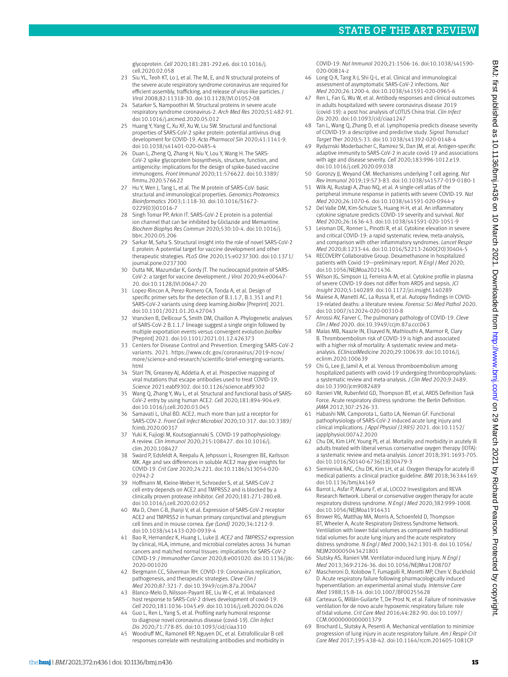glycoprotein. *Cell* 2020;181:281-292.e6. doi:10.1016/j. cell.2020.02.058

- 23 Siu YL, Teoh KT, Lo J, et al. The M, E, and N structural proteins of the severe acute respiratory syndrome coronavirus are required for efficient assembly, trafficking, and release of virus-like particles. *J Virol* 2008;82:11318-30. doi:10.1128/JVI.01052-08
- 24 Satarker S, Nampoothiri M. Structural proteins in severe acute respiratory syndrome coronavirus-2. *Arch Med Res* 2020;51:482-91. doi:10.1016/j.arcmed.2020.05.012
- 25 Huang Y, Yang C, Xu XF, Xu W, Liu SW. Structural and functional properties of SARS-CoV-2 spike protein: potential antivirus drug development for COVID-19. *Acta Pharmacol Sin* 2020;41:1141-9. doi:10.1038/s41401-020-0485-4
- Duan L, Zheng Q, Zhang H, Niu Y, Lou Y, Wang H. The SARS CoV-2 spike glycoprotein biosynthesis, structure, function, and antigenicity: implications for the design of spike-based vaccine immunogens. *Front Immunol* 2020;11:576622. doi:10.3389/ fimmu.2020.576622
- 27 Hu Y, Wen J, Tang L, et al. The M protein of SARS-CoV: basic structural and immunological properties. *Genomics Proteomics Bioinformatics* 2003;1:118-30. doi:10.1016/S1672- 0229(03)01016-7
- 28 Singh Tomar PP, Arkin IT. SARS-CoV-2 E protein is a potential ion channel that can be inhibited by Gliclazide and Memantine. *Biochem Biophys Res Commun* 2020;530:10-4. doi:10.1016/j. bbrc.2020.05.206
- 29 Sarkar M, Saha S. Structural insight into the role of novel SARS-CoV-2 E protein: A potential target for vaccine development and other therapeutic strategies. *PLoS One* 2020;15:e0237300. doi:10.1371/ journal.pone.0237300
- 30 Dutta NK, Mazumdar K, Gordy JT. The nucleocapsid protein of SARS-CoV-2: a target for vaccine development. *J Virol* 2020;94:e00647- 20. doi:10.1128/JVI.00647-20
- 31 Lopez-Rincon A, Perez-Romero CA, Tonda A, et al. Design of specific primer sets for the detection of B.1.1.7, B.1.351 and P.1 SARS-CoV-2 variants using deep learning.*bioRxiv* [Preprint] 2021. doi:10.1101/2021.01.20.427043
- 32 Vrancken B, Dellicour S, Smith DM, Chaillon A. Phylogenetic analyses of SARS-CoV-2 B.1.1.7 lineage suggest a single origin followed by multiple exportation events versus convergent evolution.*bioRxiv* [Preprint] 2021. doi:10.1101/2021.01.12.426373
- 33 Centers for Disease Control and Prevention. Emerging SARS-CoV-2 variants. 2021. [https://www.cdc.gov/coronavirus/2019-ncov/](https://www.cdc.gov/coronavirus/2019-ncov/more/science-and-research/scientific-brief-emerging-variants.html) [more/science-and-research/scientific-brief-emerging-variants.](https://www.cdc.gov/coronavirus/2019-ncov/more/science-and-research/scientific-brief-emerging-variants.html) [html](https://www.cdc.gov/coronavirus/2019-ncov/more/science-and-research/scientific-brief-emerging-variants.html)
- 34 Starr TN, Greaney AJ, Addetia A, et al. Prospective mapping of viral mutations that escape antibodies used to treat COVID-19. *Science* 2021:eabf9302. doi:10.1126/science.abf9302
- 35 Wang Q, Zhang Y, Wu L, et al. Structural and functional basis of SARS-CoV-2 entry by using human ACE2. *Cell* 2020;181:894-904.e9. doi:10.1016/j.cell.2020.03.045
- 36 Samavati L, Uhal BD. ACE2, much more than just a receptor for SARS-COV-2. *Front Cell Infect Microbiol* 2020;10:317. doi:10.3389/ fcimb.2020.00317
- 37 Yuki K, Fujiogi M, Koutsogiannaki S. COVID-19 pathophysiology: A review. *Clin Immunol* 2020;215:108427. doi:10.1016/j. clim.2020.108427
- 38 Swärd P, Edsfeldt A, Reepalu A, Jehpsson L, Rosengren BE, Karlsson MK. Age and sex differences in soluble ACE2 may give insights for COVID-19. *Crit Care* 2020;24:221. doi:10.1186/s13054-020- 02942-2
- 39 Hoffmann M, Kleine-Weber H, Schroeder S, et al. SARS-CoV-2 cell entry depends on ACE2 and TMPRSS2 and is blocked by a clinically proven protease inhibitor. *Cell* 2020;181:271-280.e8. doi:10.1016/j.cell.2020.02.052
- Ma D, Chen C-B, Jhanji V, et al. Expression of SARS-CoV-2 receptor ACE2 and TMPRSS2 in human primary conjunctival and pterygium cell lines and in mouse cornea. *Eye (Lond)* 2020;34:1212-9. doi:10.1038/s41433-020-0939-4
- 41 Bao R, Hernandez K, Huang L, Luke JJ. *ACE2* and *TMPRSS2* expression by clinical, HLA, immune, and microbial correlates across 34 human cancers and matched normal tissues: implications for SARS-CoV-2 COVID-19. *J Immunother Cancer* 2020;8:e001020. doi:10.1136/jitc-2020-001020
- 42 Bergmann CC, Silverman RH. COVID-19: Coronavirus replication, pathogenesis, and therapeutic strategies. *Cleve Clin J Med* 2020;87:321-7. doi:10.3949/ccjm.87a.20047
- 43 Blanco-Melo D, Nilsson-Payant BE, Liu W-C, et al. Imbalanced host response to SARS-CoV-2 drives development of covid-19. *Cell* 2020;181:1036-1045.e9. doi:10.1016/j.cell.2020.04.026
- 44 Guo L, Ren L, Yang S, et al. Profiling early humoral response to diagnose novel coronavirus disease (covid-19). *Clin Infect Dis* 2020;71:778-85. doi:10.1093/cid/ciaa310
- 45 Woodruff MC, Ramonell RP, Nguyen DC, et al. Extrafollicular B cell responses correlate with neutralizing antibodies and morbidity in

COVID-19. *Nat Immunol* 2020;21:1506-16. doi:10.1038/s41590- 020-00814-z

- 46 Long Q-X, Tang X-J, Shi Q-L, et al. Clinical and immunological assessment of asymptomatic SARS-CoV-2 infections. *Nat Med* 2020;26:1200-4. doi:10.1038/s41591-020-0965-6
- 47 Ren L, Fan G, Wu W, et al. Antibody responses and clinical outcomes in adults hospitalized with severe coronavirus disease 2019 (covid-19): a post hoc analysis of LOTUS China trial. *Clin Infect Dis* 2020. doi:10.1093/cid/ciaa1247
- 48 Tan L, Wang Q, Zhang D, et al. Lymphopenia predicts disease severity of COVID-19: a descriptive and predictive study. *Signal Transduct Target Ther* 2020;5:33. doi:10.1038/s41392-020-0148-4
- 49 Rydyznski Moderbacher C, Ramirez SI, Dan JM, et al. Antigen-specific adaptive immunity to SARS-CoV-2 in acute covid-19 and associations with age and disease severity. *Cell* 2020;183:996-1012.e19. doi:10.1016/j.cell.2020.09.038
- 50 Goronzy JJ, Weyand CM. Mechanisms underlying T cell ageing. *Nat Rev Immunol* 2019;19:573-83. doi:10.1038/s41577-019-0180-1
- Wilk AJ, Rustagi A, Zhao NQ, et al. A single-cell atlas of the peripheral immune response in patients with severe COVID-19. *Nat Med* 2020;26:1070-6. doi:10.1038/s41591-020-0944-y
- 52 Del Valle DM, Kim-Schulze S, Huang H-H, et al. An inflammatory cytokine signature predicts COVID-19 severity and survival. *Nat Med* 2020;26:1636-43. doi:10.1038/s41591-020-1051-9
- 53 Leisman DE, Ronner L, Pinotti R, et al. Cytokine elevation in severe and critical COVID-19: a rapid systematic review, meta-analysis, and comparison with other inflammatory syndromes. *Lancet Respir Med* 2020;8:1233-44. doi:10.1016/S2213-2600(20)30404-5
- 54 RECOVERY Collaborative Group. Dexamethasone in hospitalized patients with Covid-19—preliminary report. *N Engl J Med* 2020; doi:10.1056/NEJMoa2021436.
- 55 Wilson JG, Simpson LJ, Ferreira A-M, et al. Cytokine profile in plasma of severe COVID-19 does not differ from ARDS and sepsis. *JCI Insight* 2020;5:140289. doi:10.1172/jci.insight.140289
- 56 Maiese A, Manetti AC, La Russa R, et al. Autopsy findings in COVID-19-related deaths: a literature review. *Forensic Sci Med Pathol* 2020. doi:10.1007/s12024-020-00310-8
- 57 Arrossi AV, Farver C. The pulmonary pathology of COVID-19. *Cleve Clin J Med* 2020. doi:10.3949/ccjm.87a.ccc063
- Malas MB, Naazie IN, Elsayed N, Mathlouthi A, Marmor R, Clary B. Thromboembolism risk of COVID-19 is high and associated with a higher risk of mortality: A systematic review and metaanalysis. *EClinicalMedicine* 2020;29:100639. doi:10.1016/j. eclinm.2020.100639
- 59 Chi G, Lee JJ, Jamil A, et al. Venous thromboembolism among hospitalized patients with covid-19 undergoing thromboprophylaxis: a systematic review and meta-analysis. *J Clin Med* 2020;9:2489. doi:10.3390/jcm9082489
- 60 Ranieri VM, Rubenfeld GD, Thompson BT, et al, ARDS Definition Task Force. Acute respiratory distress syndrome: the Berlin Definition. *JAMA* 2012;307:2526-33.
- 61 Habashi NM, Camporota L, Gatto LA, Nieman GF. Functional pathophysiology of SARS-CoV-2 induced acute lung injury and clinical implications. *J Appl Physiol (1985)* 2021. doi:10.1152/ japplphysiol.00742.2020
- 62 Chu DK, Kim LHY, Young PJ, et al. Mortality and morbidity in acutely ill adults treated with liberal versus conservative oxygen therapy (IOTA): a systematic review and meta-analysis. *Lancet* 2018;391:1693-705. doi:10.1016/S0140-6736(18)30479-3
- 63 Siemieniuk RAC, Chu DK, Kim LH, et al. Oxygen therapy for acutely ill medical patients: a clinical practice guideline. *BMJ* 2018;363:k4169. doi:10.1136/bmj.k4169
- Barrot L, Asfar P, Mauny F, et al, LOCO2 Investigators and REVA Research Network. Liberal or conservative oxygen therapy for acute respiratory distress syndrome. *N Engl J Med* 2020;382:999-1008. doi:10.1056/NEJMoa1916431
- 65 Brower RG, Matthay MA, Morris A, Schoenfeld D, Thompson BT, Wheeler A, Acute Respiratory Distress Syndrome Network. Ventilation with lower tidal volumes as compared with traditional tidal volumes for acute lung injury and the acute respiratory distress syndrome. *N Engl J Med* 2000;342:1301-8. doi:10.1056/ NEJM200005043421801
- 66 Slutsky AS, Ranieri VM. Ventilator-induced lung injury. *N Engl J Med* 2013;369:2126-36. doi:10.1056/NEJMra1208707
- 67 Mascheroni D, Kolobow T, Fumagalli R, Moretti MP, Chen V, Buckhold D. Acute respiratory failure following pharmacologically induced hyperventilation: an experimental animal study. *Intensive Care Med* 1988;15:8-14. doi:10.1007/BF00255628
- 68 Carteaux G, Millán-Guilarte T, De Prost N, et al. Failure of noninvasive ventilation for de novo acute hypoxemic respiratory failure: role of tidal volume. *Crit Care Med* 2016;44:282-90. doi:10.1097/ CCM.0000000000001379
- 69 Brochard L, Slutsky A, Pesenti A. Mechanical ventilation to minimize progression of lung injury in acute respiratory failure. *Am J Respir Crit Care Med* 2017;195:438-42. doi:10.1164/rccm.201605-1081CP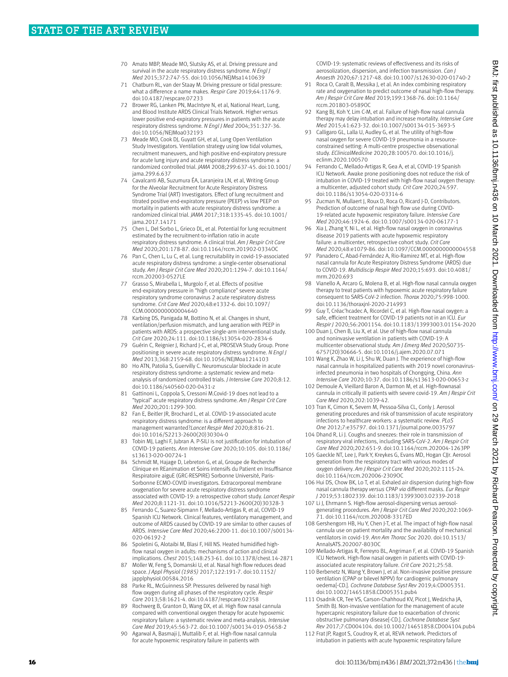- 70 Amato MBP, Meade MO, Slutsky AS, et al. Driving pressure and survival in the acute respiratory distress syndrome. *N Engl J Med* 2015;372:747-55. doi:10.1056/NEJMsa1410639
- 71 Chatburn RL, van der Staay M. Driving pressure or tidal pressure: what a difference a name makes. *Respir Care* 2019;64:1176-9. doi:10.4187/respcare.07233
- 72 Brower RG, Lanken PN, MacIntyre N, et al, National Heart, Lung, and Blood Institute ARDS Clinical Trials Network. Higher versus lower positive end-expiratory pressures in patients with the acute respiratory distress syndrome. *N Engl J Med* 2004;351:327-36. doi:10.1056/NEJMoa032193
- 73 Meade MO, Cook DJ, Guyatt GH, et al, Lung Open Ventilation Study Investigators. Ventilation strategy using low tidal volumes, recruitment maneuvers, and high positive end-expiratory pressure for acute lung injury and acute respiratory distress syndrome: a randomized controlled trial. *JAMA* 2008;299:637-45. doi:10.1001/ jama.299.6.637
- 74 Cavalcanti AB, Suzumura ÉA, Laranjeira LN, et al, Writing Group for the Alveolar Recruitment for Acute Respiratory Distress Syndrome Trial (ART) Investigators. Effect of lung recruitment and titrated positive end-expiratory pressure (PEEP) vs low PEEP on mortality in patients with acute respiratory distress syndrome: a randomized clinical trial. *JAMA* 2017;318:1335-45. doi:10.1001/ jama.2017.14171
- 75 Chen L, Del Sorbo L, Grieco DL, et al. Potential for lung recruitment estimated by the recruitment-to-inflation ratio in acute respiratory distress syndrome. A clinical trial. *Am J Respir Crit Care Med* 2020;201:178-87. doi:10.1164/rccm.201902-0334OC
- 76 Pan C, Chen L, Lu C, et al. Lung recruitability in covid-19-associated acute respiratory distress syndrome: a single-center observational study. *Am J Respir Crit Care Med* 2020;201:1294-7. doi:10.1164/ rccm.202003-0527LE
- 77 Grasso S, Mirabella L, Murgolo F, et al. Effects of positive end-expiratory pressure in "high compliance" severe acute respiratory syndrome coronavirus 2 acute respiratory distress syndrome. *Crit Care Med* 2020;48:e1332-6. doi:10.1097/ CCM.0000000000004640
- 78 Karbing DS, Panigada M, Bottino N, et al. Changes in shunt, ventilation/perfusion mismatch, and lung aeration with PEEP in patients with ARDS: a prospective single-arm interventional study. *Crit Care* 2020;24:111. doi:10.1186/s13054-020-2834-6
- 79 Guérin C, Reignier J, Richard J-C, et al, PROSEVA Study Group. Prone positioning in severe acute respiratory distress syndrome. *N Engl J Med* 2013;368:2159-68. doi:10.1056/NEJMoa1214103
- 80 Ho ATN, Patolia S, Guervilly C. Neuromuscular blockade in acute respiratory distress syndrome: a systematic review and metaanalysis of randomized controlled trials. *J Intensive Care* 2020;8:12. doi:10.1186/s40560-020-0431-z
- 81 Gattinoni L, Coppola S, Cressoni M.Covid-19 does not lead to a "typical" acute respiratory distress syndrome. *Am J Respir Crit Care Med* 2020;201:1299-300.
- 82 Fan E, Beitler JR, Brochard L, et al. COVID-19-associated acute respiratory distress syndrome: is a different approach to management warranted?*Lancet Respir Med* 2020;8:816-21. doi:10.1016/S2213-2600(20)30304-0
- 83 Tobin MJ, Laghi F, Jubran A. P-SILI is not justification for intubation of COVID-19 patients. *Ann Intensive Care* 2020;10:105. doi:10.1186/ s13613-020-00724-1
- 84 Schmidt M, Hajage D, Lebreton G, et al, Groupe de Recherche Clinique en REanimation et Soins intensifs du Patient en Insuffisance Respiratoire aiguE (GRC-RESPIRE) Sorbonne Université, Paris-Sorbonne ECMO-COVID investigators. Extracorporeal membrane oxygenation for severe acute respiratory distress syndrome associated with COVID-19: a retrospective cohort study. *Lancet Respir Med* 2020;8:1121-31. doi:10.1016/S2213-2600(20)30328-3
- 85 Ferrando C, Suarez-Sipmann F, Mellado-Artigas R, et al, COVID-19 Spanish ICU Network. Clinical features, ventilatory management, and outcome of ARDS caused by COVID-19 are similar to other causes of ARDS. *Intensive Care Med* 2020;46:2200-11. doi:10.1007/s00134- 020-06192-2
- 86 Spoletini G, Alotaibi M, Blasi F, Hill NS. Heated humidified highflow nasal oxygen in adults: mechanisms of action and clinical implications. *Chest* 2015;148:253-61. doi:10.1378/chest.14-2871
- 87 Möller W, Feng S, Domanski U, et al. Nasal high flow reduces dead space. *J Appl Physiol (1985)* 2017;122:191-7. doi:10.1152/ japplphysiol.00584.2016
- 88 Parke RL, McGuinness SP. Pressures delivered by nasal high flow oxygen during all phases of the respiratory cycle. *Respir Care* 2013;58:1621-4. doi:10.4187/respcare.02358
- 89 Rochwerg B, Granton D, Wang DX, et al. High flow nasal cannula compared with conventional oxygen therapy for acute hypoxemic respiratory failure: a systematic review and meta-analysis. *Intensive Care Med* 2019;45:563-72. doi:10.1007/s00134-019-05658-2
- 90 Agarwal A, Basmaji J, Muttalib F, et al. High-flow nasal cannula for acute hypoxemic respiratory failure in patients with

COVID-19: systematic reviews of effectiveness and its risks of aerosolization, dispersion, and infection transmission. *Can J Anaesth* 2020;67:1217-48. doi:10.1007/s12630-020-01740-2

- 91 Roca O, Caralt B, Messika J, et al. An index combining respiratory rate and oxygenation to predict outcome of nasal high-flow therapy. *Am J Respir Crit Care Med* 2019;199:1368-76. doi:10.1164/ rccm.201803-0589OC
- 92 Kang BJ, Koh Y, Lim C-M, et al. Failure of high-flow nasal cannula therapy may delay intubation and increase mortality. *Intensive Care Med* 2015;41:623-32. doi:10.1007/s00134-015-3693-5
- 93 Calligaro GL, Lalla U, Audley G, et al. The utility of high-flow nasal oxygen for severe COVID-19 pneumonia in a resourceconstrained setting: A multi-centre prospective observational study. *EClinicalMedicine* 2020;28:100570. doi:10.1016/j. eclinm.2020.100570
- 94 Ferrando C, Mellado-Artigas R, Gea A, et al, COVID-19 Spanish ICU Network. Awake prone positioning does not reduce the risk of intubation in COVID-19 treated with high-flow nasal oxygen therapy: a multicenter, adjusted cohort study. *Crit Care* 2020;24:597. doi:10.1186/s13054-020-03314-6
- 95 Zucman N, Mullaert J, Roux D, Roca O, Ricard J-D, Contributors. Prediction of outcome of nasal high flow use during COVID-19-related acute hypoxemic respiratory failure. *Intensive Care Med* 2020;46:1924-6. doi:10.1007/s00134-020-06177-1
- 96 Xia J, Zhang Y, Ni L, et al. High-flow nasal oxygen in coronavirus disease 2019 patients with acute hypoxemic respiratory failure: a multicenter, retrospective cohort study. *Crit Care Med* 2020;48:e1079-86. doi:10.1097/CCM.0000000000004558
- 97 Panadero C, Abad-Fernández A, Rio-Ramirez MT, et al. High-flow nasal cannula for Acute Respiratory Distress Syndrome (ARDS) due to COVID-19. *Multidiscip Respir Med* 2020;15:693. doi:10.4081/ mrm.2020.693
- 98 Vianello A, Arcaro G, Molena B, et al. High-flow nasal cannula oxygen therapy to treat patients with hypoxemic acute respiratory failure consequent to SARS-CoV-2 infection. *Thorax* 2020;75:998-1000. doi:10.1136/thoraxjnl-2020-214993
- Guy T, Créac'hcadec A, Ricordel C, et al. High-flow nasal oxygen: a safe, efficient treatment for COVID-19 patients not in an ICU. *Eur Respir J* 2020;56:2001154. doi:10.1183/13993003.01154-2020
- 100 Duan J, Chen B, Liu X, et al. Use of high-flow nasal cannula and noninvasive ventilation in patients with COVID-19: A multicenter observational study. *Am J Emerg Med* 2020;S0735- 6757(20)30666-5. doi:10.1016/j.ajem.2020.07.071
- 101 Wang K, Zhao W, Li J, Shu W, Duan J. The experience of high-flow nasal cannula in hospitalized patients with 2019 novel coronavirusinfected pneumonia in two hospitals of Chongqing, China. *Ann Intensive Care* 2020;10:37. doi:10.1186/s13613-020-00653-z
- 102 Demoule A, Vieillard Baron A, Darmon M, et al. High-flownasal cannula in critically iII patients with severe covid-19. *Am J Respir Crit Care Med* 2020;202:1039-42.
- 103 Tran K, Cimon K, Severn M, Pessoa-Silva CL, Conly J. Aerosol generating procedures and risk of transmission of acute respiratory infections to healthcare workers: a systematic review. *PLoS One* 2012;7:e35797. doi:10.1371/journal.pone.0035797
- 104 Dhand R, Li J. Coughs and sneezes: their role in transmission of respiratory viral infections, including SARS-CoV-2. *Am J Respir Crit Care Med* 2020;202:651-9. doi:10.1164/rccm.202004-1263PP
- 105 Gaeckle NT, Lee J, Park Y, Kreykes G, Evans MD, Hogan CJJr. Aerosol generation from the respiratory tract with various modes of oxygen delivery. *Am J Respir Crit Care Med* 2020;202:1115-24. doi:10.1164/rccm.202006-2309OC
- 106 Hui DS, Chow BK, Lo T, et al. Exhaled air dispersion during high-flow nasal cannula therapy *versus* CPAP *via* different masks. *Eur Respir J* 2019;53:1802339. doi:10.1183/13993003.02339-2018
- 107 Li J, Ehrmann S. High-flow aerosol-dispersing versus aerosolgenerating procedures. *Am J Respir Crit Care Med* 2020;202:1069- 71. doi:10.1164/rccm.202008-3317ED
- 108 Gershengorn HB, Hu Y, Chen J-T, et al. The impact of high-flow nasal cannula use on patient mortality and the availability of mechanical ventilators in covid-19. *Ann Am Thorac Soc* 2020. doi:10.1513/ AnnalsATS.202007-803OC
- 109 Mellado-Artigas R, Ferreyro BL, Angriman F, et al. COVID-19 Spanish ICU Network. High-flow nasal oxygen in patients with COVID-19 associated acute respiratory failure. *Crit Care* 2021;25:58.
- 110 Berbenetz N, Wang Y, Brown J, et al. Non-invasive positive pressure ventilation (CPAP or bilevel NPPV) for cardiogenic pulmonary oedema[-CD.]. *Cochrane Database Syst Rev* 2019;4:CD005351. doi:10.1002/14651858.CD005351.pub4
- 111 Osadnik CR, Tee VS, Carson-Chahhoud KV, Picot J, Wedzicha JA, Smith BJ. Non-invasive ventilation for the management of acute hypercapnic respiratory failure due to exacerbation of chronic obstructive pulmonary disease[-CD.]. *Cochrane Database Syst Rev* 2017;7:CD004104. doi:10.1002/14651858.CD004104.pub4
- 112 Frat JP, Ragot S, Coudroy R, et al, REVA network. Predictors of intubation in patients with acute hypoxemic respiratory failure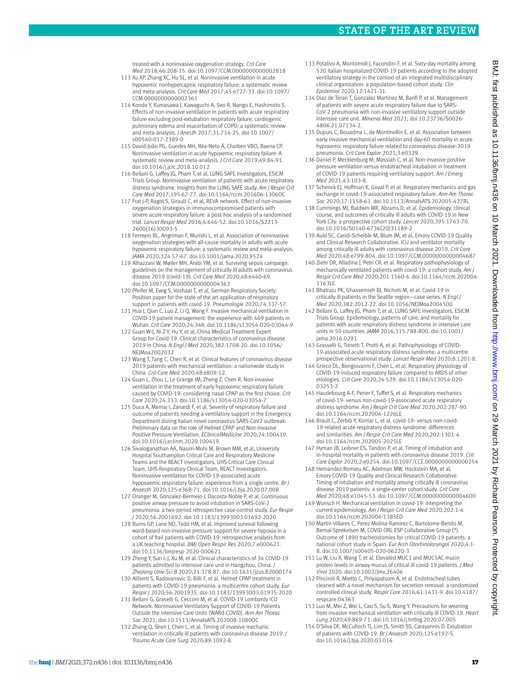treated with a noninvasive oxygenation strategy. *Crit Care Med* 2018;46:208-15. doi:10.1097/CCM.0000000000002818

- 113 Xu XP, Zhang XC, Hu SL, et al. Noninvasive ventilation in acute hypoxemic nonhypercapnic respiratory failure: a systematic review and meta-analysis. *Crit Care Med* 2017;45:e727-33. doi:10.1097/ CCM.0000000000002361
- 114 Kondo Y, Kumasawa J, Kawaguchi A, Seo R, Nango E, Hashimoto S. Effects of non-invasive ventilation in patients with acute respiratory failure excluding post-extubation respiratory failure, cardiogenic pulmonary edema and exacerbation of COPD: a systematic review and meta-analysis. *J Anesth* 2017;31:714-25. doi:10.1007/ s00540-017-2389-0
- 115 David-João PG, Guedes MH, Réa-Neto Á, Chaiben VBO, Baena CP. Noninvasive ventilation in acute hypoxemic respiratory failure: A systematic review and meta-analysis. *J Crit Care* 2019;49:84-91. doi:10.1016/j.jcrc.2018.10.012
- 116 Bellani G, Laffey JG, Pham T, et al, LUNG SAFE Investigators, ESICM Trials Group. Noninvasive ventilation of patients with acute respiratory distress syndrome. Insights from the LUNG SAFE study. *Am J Respir Crit Care Med* 2017;195:67-77. doi:10.1164/rccm.201606-1306OC
- 117 Frat J-P, Ragot S, Girault C, et al, REVA network. Effect of non-invasive oxygenation strategies in immunocompromised patients with severe acute respiratory failure: a post-hoc analysis of a randomised trial. *Lancet Respir Med* 2016;4:646-52. doi:10.1016/S2213- 2600(16)30093-5
- 118 Ferreyro BL, Angriman F, Munshi L, et al. Association of noninvasive oxygenation strategies with all-cause mortality in adults with acute hypoxemic respiratory failure: a systematic review and meta-analysis. *JAMA* 2020;324:57-67. doi:10.1001/jama.2020.9524
- 119 Alhazzani W, Møller MH, Arabi YM, et al. Surviving sepsis campaign: guidelines on the management of critically ill adults with coronavirus disease 2019 (covid-19). *Crit Care Med* 2020;48:e440-69. doi:10.1097/CCM.0000000000004363
- 120 Pfeifer M, Ewig S, Voshaar T, et al, German Respiratory Society. Position paper for the state of the art application of respiratory support in patients with covid-19. *Pneumologie* 2020;74:337-57.
- 121 Hua J, Qian C, Luo Z, Li Q, Wang F. Invasive mechanical ventilation in COVID-19 patient management: the experience with 469 patients in Wuhan. *Crit Care* 2020;24:348. doi:10.1186/s13054-020-03044-9
- 122 Guan W-J, Ni Z-Y, Hu Y, et al, China Medical Treatment Expert Group for Covid-19. Clinical characteristics of coronavirus disease 2019 in China. *N Engl J Med* 2020;382:1708-20. doi:10.1056/ NEJMoa2002032
- 123 Wang T, Tang C, Chen R, et al. Clinical features of coronavirus disease 2019 patients with mechanical ventilation: a nationwide study in China. *Crit Care Med* 2020;48:e809-12.
- 124 Guan L, Zhou L, Le Grange JM, Zheng Z, Chen R. Non-invasive ventilation in the treatment of early hypoxemic respiratory failure caused by COVID-19: considering nasal CPAP as the first choice. *Crit Care* 2020;24:333. doi:10.1186/s13054-020-03054-7
- 125 Duca A, Memaj I, Zanardi F, et al. Severity of respiratory failure and outcome of patients needing a ventilatory support in the Emergency Department during Italian novel coronavirus SARS-CoV2 outbreak: Preliminary data on the role of Helmet CPAP and Non-Invasive Positive Pressure Ventilation. *EClinicalMedicine* 2020;24:100419. doi:10.1016/j.eclinm.2020.100419
- 126 Sivaloganathan AA, Nasim-Mohi M, Brown MM, et al, University Hospital Southampton Critical Care and Respiratory Medicine Teams and the REACT investigators, UHS Critical Care Clinical Team, UHS Respiratory Clinical Team, REACT Investigators. Noninvasive ventilation for COVID-19-associated acute hypoxaemic respiratory failure: experience from a single centre. *Br J Anaesth* 2020;125:e368-71. doi:10.1016/j.bja.2020.07.008
- 127 Oranger M, Gonzalez-Bermejo J, Dacosta-Noble P, et al. Continuous positive airway pressure to avoid intubation in SARS-CoV-2 pneumonia: a two-period retrospective case-control study. *Eur Respir J* 2020;56:2001692. doi:10.1183/13993003.01692-2020
- 128 Burns GP, Lane ND, Tedd HM, et al. Improved survival following ward-based non-invasive pressure support for severe hypoxia in a cohort of frail patients with COVID-19: retrospective analysis from a UK teaching hospital. *BMJ Open Respir Res* 2020;7:e000621. doi:10.1136/bmjresp-2020-000621
- 129 Zheng Y, Sun L-J, Xu M, et al. Clinical characteristics of 34 COVID-19 patients admitted to intensive care unit in Hangzhou, China. *J Zhejiang Univ Sci B* 2020;21:378-87. doi:10.1631/jzus.B2000174
- 130 Aliberti S, Radovanovic D, Billi F, et al. Helmet CPAP treatment in patients with COVID-19 pneumonia: a multicentre cohort study. *Eur Respir J* 2020;56:2001935. doi:10.1183/13993003.01935-2020
- 131 Bellani G, Graselli G, Cecconi M, et al. COVID-19 Lombardy ICU Network. Noninvasive Ventilatory Support of COVID-19 Patients Outside the Intensive Care Units (WARd-COVID). *Ann Am Thorac Soc* 2021; doi:10.1513/AnnalsATS.202008-1080OC
- 132 Zhang Q, Shen J, Chen L, et al. Timing of invasive mechanic ventilation in critically ill patients with coronavirus disease 2019. *J Trauma Acute Care Surg* 2020;89:1092-8.
- 133 Potalivo A, Montomoli J, Facondini F, et al. Sixty-day mortality among 520 Italian hospitalized COVID-19 patients according to the adopted ventilatory strategy in the context of an integrated multidisciplinary clinical organization: a population-based cohort study. *Clin Epidemiol* 2020;12:1421-31.
- 134 Diaz de Teran T, Gonzalez Martinez M, Banfi P, et al. Management of patients with severe acute respiratory failure due to SARS-CoV-2 pneumonia with non-invasive ventilatory support outside intensive care unit. *Minerva Med* 2021; doi:10.23736/S0026- 4806.21.07134-2.
- 135 Dupuis C, Bouadma L, de Montmollin E, et al. Association between early invasive mechanical ventilation and day-60 mortality in acute hypoxemic respiratory failure related to coronavirus disease-2019 pneumonia. *Crit Care Explor* 2021;3:e0329.
- 136 Daniel P, Mecklenburg M, Massiah C, et al. Non-invasive positive pressure ventilation versus endotracheal intubation in treatment of COVID-19 patients requiring ventilatory support. *Am J Emerg Med* 2021;43:103-8.
- 137 Schenck EJ, Hoffman K, Goyal P, et al. Respiratory mechanics and gas exchange in covid-19-associated respiratory failure. *Ann Am Thorac Soc* 2020;17:1158-61. doi:10.1513/AnnalsATS.202005-427RL
- 138 Cummings MJ, Baldwin MR, Abrams D, et al. Epidemiology, clinical course, and outcomes of critically ill adults with COVID-19 in New York City: a prospective cohort study. *Lancet* 2020;395:1763-70. doi:10.1016/S0140-6736(20)31189-2
- 139 Auld SC, Caridi-Scheible M, Blum JM, et al, Emory COVID-19 Quality and Clinical Research Collaborative. ICU and ventilator mortality among critically ill adults with coronavirus disease 2019. *Crit Care Med* 2020;48:e799-804. doi:10.1097/CCM.0000000000004687
- 140 Ziehr DR, Alladina J, Petri CR, et al. Respiratory pathophysiology of mechanically ventilated patients with covid-19: a cohort study. *Am J Respir Crit Care Med* 2020;201:1560-4. doi:10.1164/rccm.202004- 1163LE
- 141 Bhatraju PK, Ghassemieh BJ, Nichols M, et al. Covid-19 in critically ill patients in the Seattle region—case series. *N Engl J Med* 2020;382:2012-22. doi:10.1056/NEJMoa2004500
- 142 Bellani G, Laffey JG, Pham T, et al, LUNG SAFE Investigators, ESICM Trials Group. Epidemiology, patterns of care, and mortality for patients with acute respiratory distress syndrome in intensive care units in 50 countries. *JAMA* 2016;315:788-800. doi:10.1001/ jama.2016.0291
- 143 Grasselli G, Tonetti T, Protti A, et al. Pathophysiology of COVID-19-associated acute respiratory distress syndrome: a multicentre prospective observational study. *Lancet Respir Med* 2020;8:1201-8.
- 144 Grieco DL, Bongiovanni F, Chen L, et al. Respiratory physiology of COVID-19-induced respiratory failure compared to ARDS of other etiologies. *Crit Care* 2020;24:529. doi:10.1186/s13054-020- 03253-2
- 145 Haudebourg A-F, Perier F, Tuffet S, et al. Respiratory mechanics of covid-19- versus non-covid-19-associated acute respiratory distress syndrome. *Am J Respir Crit Care Med* 2020;202:287-90. doi:10.1164/rccm.202004-1226LE
- 146 Brault C, Zerbib Y, Kontar L, et al. covid-19- versus non-covid-19-related acute respiratory distress syndrome: differences and similarities. *Am J Respir Crit Care Med* 2020;202:1301-4. doi:10.1164/rccm.202005-2025LE
- 147 Hyman JB, Leibner ES, Tandon P, et al. Timing of intubation and in-hospital mortality in patients with coronavirus disease 2019. *Crit Care Explor* 2020;2:e0254. doi:10.1097/CCE.0000000000000254
- 148 Hernandez-Romieu AC, Adelman MW, Hockstein MA, et al, Emory COVID-19 Quality and Clinical Research Collaborative. Timing of intubation and mortality among critically ill coronavirus disease 2019 patients: a single-center cohort study. *Crit Care Med* 2020;48:e1045-53. doi:10.1097/CCM.0000000000004600
- 149 Wunsch H. Mechanical ventilation in covid-19: interpreting the current epidemiology. *Am J Respir Crit Care Med* 2020;202:1-4. doi:10.1164/rccm.202004-1385ED
- 150 Martin-Villares C, Perez Molina-Ramirez C, Bartolome-Benito M, Bernal-Sprekelsen M, COVID ORL ESP Collaborative Group (\*). Outcome of 1890 tracheostomies for critical COVID-19 patients: a national cohort study in Spain. *Eur Arch Otorhinolaryngol* 2020;4:1- 8. doi:10.1007/s00405-020-06220-3
- 151 Lu W, Liu X, Wang T, et al. Elevated MUC1 and MUC5AC mucin protein levels in airway mucus of critical ill covid-19 patients. *J Med Virol* 2020. doi:10.1002/jmv.26406
- 152 Pinciroli R, Mietto C, Piriyapatsom A, et al. Endotracheal tubes cleaned with a novel mechanism for secretion removal: a randomized controlled clinical study. *Respir Care* 2016;61:1431-9. doi:10.4187/ respcare.04363
- 153 Luo M, Mei Z, Wei L, Cao S, Su S, Wang Y. Precautions for weaning from invasive mechanical ventilation with critically ill COVID-19. *Heart Lung* 2020;49:869-71. doi:10.1016/j.hrtlng.2020.07.005
- 154 D'Silva DF, McCulloch TJ, Lim JS, Smith SS, Carayannis D. Extubation of patients with COVID-19. *Br J Anaesth* 2020;125:e192-5. doi:10.1016/j.bja.2020.03.016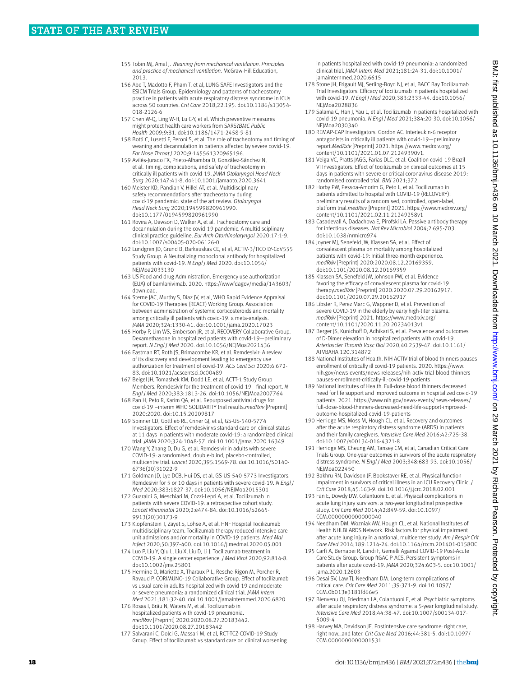- 155 Tobin MJ, Amal J. *Weaning from mechanical ventilation. Principles and practice of mechanical ventilation.* McGraw-Hill Education, 2013.
- 156 Abe T, Madotto F, Pham T, et al, LUNG-SAFE Investigators and the ESICM Trials Group. Epidemiology and patterns of tracheostomy practice in patients with acute respiratory distress syndrome in ICUs across 50 countries. *Crit Care* 2018;22:195. doi:10.1186/s13054- 018-2126-6
- 157 Chen W-Q, Ling W-H, Lu C-Y, et al. Which preventive measures might protect health care workers from SARS?*BMC Public Health* 2009;9:81. doi:10.1186/1471-2458-9-81
- 158 Botti C, Lusetti F, Peroni S, et al. The role of tracheotomy and timing of weaning and decannulation in patients affected by severe covid-19. *Ear Nose Throat J* 2020;9:145561320965196.
- 159 Avilés-Jurado FX, Prieto-Alhambra D, González-Sánchez N, et al. Timing, complications, and safety of tracheotomy in critically ill patients with covid-19. *JAMA Otolaryngol Head Neck Surg* 2020;147:41-8. doi:10.1001/jamaoto.2020.3641
- 160 Meister KD, Pandian V, Hillel AT, et al. Multidisciplinary safety recommendations after tracheostomy during covid-19 pandemic: state of the art review. *Otolaryngol Head Neck Surg* 2020;194599820961990. doi:10.1177/0194599820961990
- 161 Rovira A, Dawson D, Walker A, et al. Tracheostomy care and decannulation during the covid-19 pandemic. A multidisciplinary clinical practice guideline. *Eur Arch Otorhinolaryngol* 2020;17:1-9. doi:10.1007/s00405-020-06126-0
- 162 Lundgren JD, Grund B, Barkauskas CE, et al, ACTIV-3/TICO LY-CoV555 Study Group. A Neutralizing monoclonal antibody for hospitalized patients with covid-19. *N Engl J Med* 2020. doi:10.1056/ NEJMoa2033130
- 163 US Food and drug Administration. Emergency use authorization (EUA) of bamlanivimab. 2020. https://wwwfdagov/media/143603/ download.
- 164 Sterne JAC, Murthy S, Diaz JV, et al, WHO Rapid Evidence Appraisal for COVID-19 Therapies (REACT) Working Group. Association between administration of systemic corticosteroids and mortality among critically ill patients with covid-19: a meta-analysis. *JAMA* 2020;324:1330-41. doi:10.1001/jama.2020.17023
- 165 Horby P, Lim WS, Emberson JR, et al, RECOVERY Collaborative Group. Dexamethasone in hospitalized patients with covid-19—preliminary report. *N Engl J Med* 2020. doi:10.1056/NEJMoa2021436
- 166 Eastman RT, Roth JS, Brimacombe KR, et al. Remdesivir: A review of its discovery and development leading to emergency use authorization for treatment of covid-19. *ACS Cent Sci* 2020;6:672- 83. doi:10.1021/acscentsci.0c00489
- 167 Beigel JH, Tomashek KM, Dodd LE, et al, ACTT-1 Study Group Members. Remdesivir for the treatment of covid-19—final report. *N Engl J Med* 2020;383:1813-26. doi:10.1056/NEJMoa2007764
- 168 Pan H, Peto R, Karim QA, et al. Repurposed antiviral drugs for covid-19 –interim WHO SOLIDARITY trial results.*medRxiv* [Preprint] 2020:2020. doi:10.15.20209817
- 169 Spinner CD, Gottlieb RL, Criner GJ, et al, GS-US-540-5774 Investigators. Effect of remdesivir vs standard care on clinical status at 11 days in patients with moderate covid-19: a randomized clinical trial. *JAMA* 2020;324:1048-57. doi:10.1001/jama.2020.16349
- 170 Wang Y, Zhang D, Du G, et al. Remdesivir in adults with severe COVID-19: a randomised, double-blind, placebo-controlled, multicentre trial. *Lancet* 2020;395:1569-78. doi:10.1016/S0140- 6736(20)31022-9
- 171 Goldman JD, Lye DCB, Hui DS, et al, GS-US-540-5773 Investigators. Remdesivir for 5 or 10 days in patients with severe covid-19. *N Engl J Med* 2020;383:1827-37. doi:10.1056/NEJMoa2015301
- 172 Guaraldi G, Meschiari M, Cozzi-Lepri A, et al. Tocilizumab in patients with severe COVID-19: a retrospective cohort study. *Lancet Rheumatol* 2020;2:e474-84. doi:10.1016/S2665- 9913(20)30173-9
- 173 Klopfenstein T, Zayet S, Lohse A, et al, HNF Hospital Tocilizumab multidisciplinary team. Tocilizumab therapy reduced intensive care unit admissions and/or mortality in COVID-19 patients. *Med Mal Infect* 2020;50:397-400. doi:10.1016/j.medmal.2020.05.001
- 174 Luo P, Liu Y, Qiu L, Liu X, Liu D, Li J. Tocilizumab treatment in COVID-19: A single center experience. *J Med Virol* 2020;92:814-8. doi:10.1002/jmv.25801
- 175 Hermine O, Mariette X, Tharaux P-L, Resche-Rigon M, Porcher R, Ravaud P, CORIMUNO-19 Collaborative Group. Effect of tocilizumab vs usual care in adults hospitalized with covid-19 and moderate or severe pneumonia: a randomized clinical trial. *JAMA Intern Med* 2021;181:32-40. doi:10.1001/jamainternmed.2020.6820
- 176 Rosas I, Bräu N, Waters M, et al. Tocilizumab in hospitalized patients with covid-19 pneumonia. *medRxiv* [Preprint] 2020:2020.08.27.20183442. doi:10.1101/2020.08.27.20183442
- 177 Salvarani C, Dolci G, Massari M, et al, RCT-TCZ-COVID-19 Study Group. Effect of tocilizumab vs standard care on clinical worsening

in patients hospitalized with covid-19 pneumonia: a randomized clinical trial. *JAMA Intern Med* 2021;181:24-31. doi:10.1001/ jamainternmed.2020.6615

- 178 Stone JH, Frigault MJ, Serling-Boyd NJ, et al, BACC Bay Tocilizumab Trial Investigators. Efficacy of tocilizumab in patients hospitalized with covid-19. *N Engl J Med* 2020;383:2333-44. doi:10.1056/ NEJMoa2028836
- 179 Salama C, Han J, Yau L, et al. Tocilizumab in patients hospitalized with covid-19 pneumonia. *N Engl J Med* 2021;384:20-30. doi:10.1056/ NEJMoa2030340
- 180 REMAP-CAP Investigators. Gordon AC. Interleukin-6 receptor antagonists in critically ill patients with covid-19—preliminary report.*MedRxiv* [Preprint] 2021. [https://www.medrxiv.org/](https://www.medrxiv.org/content/10.1101/2021.01.07.21249390v1) [content/10.1101/2021.01.07.21249390v1](https://www.medrxiv.org/content/10.1101/2021.01.07.21249390v1).
- 181 Veiga VC, Pratts JAGG, Farias DLC, et al. Coalition covid-19 Brazil VI Investigators. Effect of tocilizumab on clinical outcomes at 15 days in patients with severe or critical coronavirus disease 2019: randomised controlled trial. *BMJ* 2021;372.
- 182 Horby PW, Pessoa-Amorim G, Peto L, et al. Tocilizumab in patients admitted to hospital with COVID-19 (RECOVERY): preliminary results of a randomised, controlled, open-label, platform trial.*medRxiv* [Preprint] 2021. [https://www.medrxiv.org/](https://www.medrxiv.org/content/10.1101/2021.02.11.21249258v1) [content/10.1101/2021.02.11.21249258v1](https://www.medrxiv.org/content/10.1101/2021.02.11.21249258v1)
- 183 Casadevall A, Dadachova E, Pirofski LA. Passive antibody therapy for infectious diseases. *Nat Rev Microbiol* 2004;2:695-703. doi:10.1038/nrmicro974
- 184 Joyner MJ, Senefeld JW, Klassen SA, et al. Effect of convalescent plasma on mortality among hospitalized patients with covid-19: Initial three-month experience. *medRxiv* [Preprint] 2020:2020.08.12.20169359. doi:10.1101/2020.08.12.20169359
- 185 Klassen SA, Senefeld JW, Johnson PW, et al. Evidence favoring the efficacy of convalescent plasma for covid-19 therapy.*medRxiv* [Preprint] 2020:2020.07.29.20162917. doi:10.1101/2020.07.29.20162917
- 186 Libster R, Perez Marc G, Wappner D, et al. Prevention of severe COVID-19 in the elderly by early high-titer plasma. *medRxiv* [Preprint] 2021. [https://www.medrxiv.org/](https://www.medrxiv.org/content/10.1101/2020.11.20.20234013v1) [content/10.1101/2020.11.20.20234013v1](https://www.medrxiv.org/content/10.1101/2020.11.20.20234013v1)
- 187 Berger JS, Kunichoff D, Adhikari S, et al. Prevalence and outcomes of D-Dimer elevation in hospitalized patients with covid-19. *Arterioscler Thromb Vasc Biol* 2020;40:2539-47. doi:10.1161/ ATVBAHA.120.314872
- 188 National Institutes of Health. NIH ACTIV trial of blood thinners pauses enrollment of critically ill covid-19 patients. 2020. [https://www.](https://www.nih.gov/news-events/news-releases/nih-activ-trial-blood-thinners-pauses-enrollment-critically-ill-covid-19-patients) [nih.gov/news-events/news-releases/nih-activ-trial-blood-thinners](https://www.nih.gov/news-events/news-releases/nih-activ-trial-blood-thinners-pauses-enrollment-critically-ill-covid-19-patients)[pauses-enrollment-critically-ill-covid-19-patients](https://www.nih.gov/news-events/news-releases/nih-activ-trial-blood-thinners-pauses-enrollment-critically-ill-covid-19-patients)
- 189 National Institutes of Health. Full-dose blood thinners decreased need for life support and improved outcome in hospitalized covid-19 patients. 2021. [https://www.nih.gov/news-events/news-releases/](https://www.nih.gov/news-events/news-releases/full-dose-blood-thinners-decreased-need-life-support-improved-outcome-hospitalized-covid-19-patients) [full-dose-blood-thinners-decreased-need-life-support-improved](https://www.nih.gov/news-events/news-releases/full-dose-blood-thinners-decreased-need-life-support-improved-outcome-hospitalized-covid-19-patients)[outcome-hospitalized-covid-19-patients](https://www.nih.gov/news-events/news-releases/full-dose-blood-thinners-decreased-need-life-support-improved-outcome-hospitalized-covid-19-patients)
- 190 Herridge MS, Moss M, Hough CL, et al. Recovery and outcomes after the acute respiratory distress syndrome (ARDS) in patients and their family caregivers. *Intensive Care Med* 2016;42:725-38. doi:10.1007/s00134-016-4321-8
- 191 Herridge MS, Cheung AM, Tansey CM, et al, Canadian Critical Care Trials Group. One-year outcomes in survivors of the acute respiratory distress syndrome. *N Engl J Med* 2003;348:683-93. doi:10.1056/ NEIMoa022450
- 192 Bakhru RN, Davidson JF, Bookstaver RE, et al. Physical function impairment in survivors of critical illness in an ICU Recovery Clinic. *J Crit Care* 2018;45:163-9. doi:10.1016/j.jcrc.2018.02.001
- 193 Fan E, Dowdy DW, Colantuoni E, et al. Physical complications in acute lung injury survivors: a two-year longitudinal prospective study. *Crit Care Med* 2014;42:849-59. doi:10.1097/ CCM.0000000000000040
- 194 Needham DM, Wozniak AW, Hough CL, et al, National Institutes of Health NHLBI ARDS Network. Risk factors for physical impairment after acute lung injury in a national, multicenter study. *Am J Respir Crit Care Med* 2014;189:1214-24. doi:10.1164/rccm.201401-0158OC
- 195 Carfì A, Bernabei R, Landi F, Gemelli Against COVID-19 Post-Acute Care Study Group. Group ftGAC-P-ACS. Persistent symptoms in patients after acute covid-19. *JAMA* 2020;324:603-5. doi:10.1001/ jama.2020.12603
- 196 Desai SV, Law TJ, Needham DM. Long-term complications of critical care. *Crit Care Med* 2011;39:371-9. doi:10.1097/ CCM.0b013e3181fd66e5
- 197 Bienvenu OJ, Friedman LA, Colantuoni E, et al. Psychiatric symptoms after acute respiratory distress syndrome: a 5-year longitudinal study. *Intensive Care Med* 2018;44:38-47. doi:10.1007/s00134-017- 5009-4
- 198 Harvey MA, Davidson JE. Postintensive care syndrome: right care, right now…and later. *Crit Care Med* 2016;44:381-5. doi:10.1097/ CCM.0000000000001531